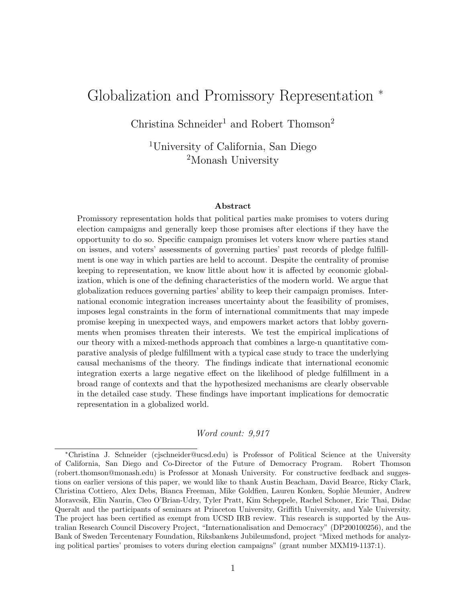### <span id="page-0-0"></span>Globalization and Promissory Representation <sup>∗</sup>

Christina Schneider<sup>1</sup> and Robert Thomson<sup>2</sup>

<sup>1</sup>University of California, San Diego <sup>2</sup>Monash University

#### Abstract

Promissory representation holds that political parties make promises to voters during election campaigns and generally keep those promises after elections if they have the opportunity to do so. Specific campaign promises let voters know where parties stand on issues, and voters' assessments of governing parties' past records of pledge fulfillment is one way in which parties are held to account. Despite the centrality of promise keeping to representation, we know little about how it is affected by economic globalization, which is one of the defining characteristics of the modern world. We argue that globalization reduces governing parties' ability to keep their campaign promises. International economic integration increases uncertainty about the feasibility of promises, imposes legal constraints in the form of international commitments that may impede promise keeping in unexpected ways, and empowers market actors that lobby governments when promises threaten their interests. We test the empirical implications of our theory with a mixed-methods approach that combines a large-n quantitative comparative analysis of pledge fulfillment with a typical case study to trace the underlying causal mechanisms of the theory. The findings indicate that international economic integration exerts a large negative effect on the likelihood of pledge fulfillment in a broad range of contexts and that the hypothesized mechanisms are clearly observable in the detailed case study. These findings have important implications for democratic representation in a globalized world.

#### Word count: 9,917

<sup>∗</sup>Christina J. Schneider (cjschneider@ucsd.edu) is Professor of Political Science at the University of California, San Diego and Co-Director of the Future of Democracy Program. Robert Thomson (robert.thomson@monash.edu) is Professor at Monash University. For constructive feedback and suggestions on earlier versions of this paper, we would like to thank Austin Beacham, David Bearce, Ricky Clark, Christina Cottiero, Alex Debs, Bianca Freeman, Mike Goldfien, Lauren Konken, Sophie Meunier, Andrew Moravcsik, Elin Naurin, Cleo O'Brian-Udry, Tyler Pratt, Kim Scheppele, Rachel Schoner, Eric Thai, Didac Queralt and the participants of seminars at Princeton University, Griffith University, and Yale University. The project has been certified as exempt from UCSD IRB review. This research is supported by the Australian Research Council Discovery Project, "Internationalisation and Democracy" (DP200100256), and the Bank of Sweden Tercentenary Foundation, Riksbankens Jubileumsfond, project "Mixed methods for analyzing political parties' promises to voters during election campaigns" (grant number MXM19-1137:1).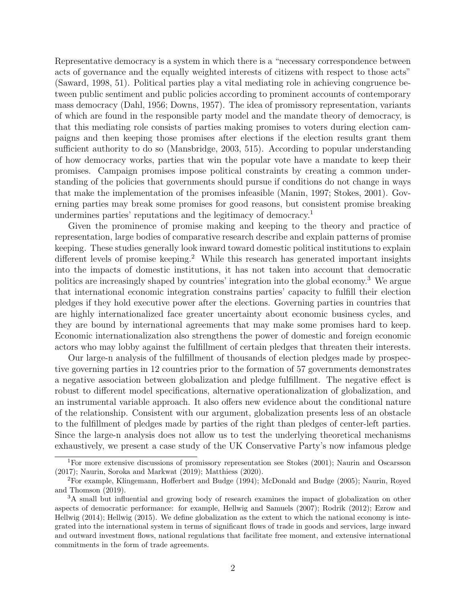Representative democracy is a system in which there is a "necessary correspondence between acts of governance and the equally weighted interests of citizens with respect to those acts" [\(Saward, 1998,](#page-23-0) 51). Political parties play a vital mediating role in achieving congruence between public sentiment and public policies according to prominent accounts of contemporary mass democracy [\(Dahl, 1956;](#page-20-0) [Downs, 1957\)](#page-20-1). The idea of promissory representation, variants of which are found in the responsible party model and the mandate theory of democracy, is that this mediating role consists of parties making promises to voters during election campaigns and then keeping those promises after elections if the election results grant them sufficient authority to do so [\(Mansbridge, 2003,](#page-22-0) 515). According to popular understanding of how democracy works, parties that win the popular vote have a mandate to keep their promises. Campaign promises impose political constraints by creating a common understanding of the policies that governments should pursue if conditions do not change in ways that make the implementation of the promises infeasible [\(Manin, 1997;](#page-22-1) [Stokes, 2001\)](#page-23-1). Governing parties may break some promises for good reasons, but consistent promise breaking undermines parties' reputations and the legitimacy of democracy.[1](#page-0-0)

Given the prominence of promise making and keeping to the theory and practice of representation, large bodies of comparative research describe and explain patterns of promise keeping. These studies generally look inward toward domestic political institutions to explain different levels of promise keeping.<sup>[2](#page-0-0)</sup> While this research has generated important insights into the impacts of domestic institutions, it has not taken into account that democratic politics are increasingly shaped by countries' integration into the global economy.[3](#page-0-0) We argue that international economic integration constrains parties' capacity to fulfill their election pledges if they hold executive power after the elections. Governing parties in countries that are highly internationalized face greater uncertainty about economic business cycles, and they are bound by international agreements that may make some promises hard to keep. Economic internationalization also strengthens the power of domestic and foreign economic actors who may lobby against the fulfillment of certain pledges that threaten their interests.

Our large-n analysis of the fulfillment of thousands of election pledges made by prospective governing parties in 12 countries prior to the formation of 57 governments demonstrates a negative association between globalization and pledge fulfillment. The negative effect is robust to different model specifications, alternative operationalization of globalization, and an instrumental variable approach. It also offers new evidence about the conditional nature of the relationship. Consistent with our argument, globalization presents less of an obstacle to the fulfillment of pledges made by parties of the right than pledges of center-left parties. Since the large-n analysis does not allow us to test the underlying theoretical mechanisms exhaustively, we present a case study of the UK Conservative Party's now infamous pledge

<sup>&</sup>lt;sup>1</sup>For more extensive discussions of promissory representation see [Stokes](#page-23-1) [\(2001\)](#page-23-1); [Naurin and Oscarsson](#page-22-2) [\(2017\)](#page-22-2); [Naurin, Soroka and Markwat](#page-22-3) [\(2019\)](#page-22-3); [Matthiess](#page-22-4) [\(2020\)](#page-22-4).

<sup>2</sup>For example, [Klingemann, Hofferbert and Budge](#page-22-5) [\(1994\)](#page-22-5); [McDonald and Budge](#page-22-6) [\(2005\)](#page-22-6); [Naurin, Royed](#page-22-7) [and Thomson](#page-22-7) [\(2019\)](#page-22-7).

<sup>3</sup>A small but influential and growing body of research examines the impact of globalization on other aspects of democratic performance: for example, [Hellwig and Samuels](#page-21-0) [\(2007\)](#page-21-0); [Rodrik](#page-23-2) [\(2012\)](#page-23-2); [Ezrow and](#page-21-1) [Hellwig](#page-21-1) [\(2014\)](#page-21-1); [Hellwig](#page-21-2) [\(2015\)](#page-21-2). We define globalization as the extent to which the national economy is integrated into the international system in terms of significant flows of trade in goods and services, large inward and outward investment flows, national regulations that facilitate free moment, and extensive international commitments in the form of trade agreements.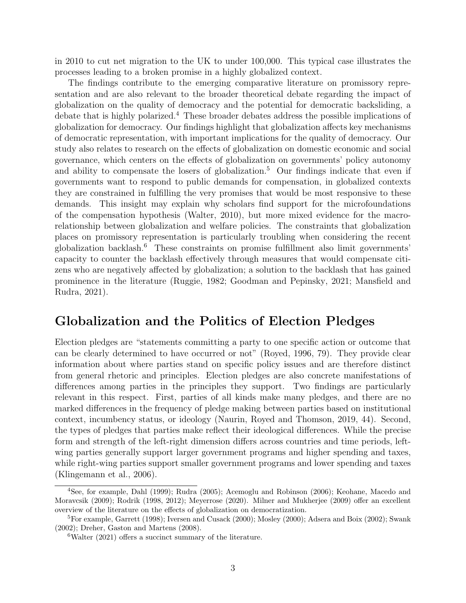in 2010 to cut net migration to the UK to under 100,000. This typical case illustrates the processes leading to a broken promise in a highly globalized context.

The findings contribute to the emerging comparative literature on promissory representation and are also relevant to the broader theoretical debate regarding the impact of globalization on the quality of democracy and the potential for democratic backsliding, a debate that is highly polarized.[4](#page-0-0) These broader debates address the possible implications of globalization for democracy. Our findings highlight that globalization affects key mechanisms of democratic representation, with important implications for the quality of democracy. Our study also relates to research on the effects of globalization on domestic economic and social governance, which centers on the effects of globalization on governments' policy autonomy and ability to compensate the losers of globalization.<sup>[5](#page-0-0)</sup> Our findings indicate that even if governments want to respond to public demands for compensation, in globalized contexts they are constrained in fulfilling the very promises that would be most responsive to these demands. This insight may explain why scholars find support for the microfoundations of the compensation hypothesis [\(Walter, 2010\)](#page-24-0), but more mixed evidence for the macrorelationship between globalization and welfare policies. The constraints that globalization places on promissory representation is particularly troubling when considering the recent globalization backlash.<sup>[6](#page-0-0)</sup> These constraints on promise fulfillment also limit governments' capacity to counter the backlash effectively through measures that would compensate citizens who are negatively affected by globalization; a solution to the backlash that has gained prominence in the literature [\(Ruggie, 1982;](#page-23-3) [Goodman and Pepinsky, 2021;](#page-21-3) [Mansfield and](#page-22-8) [Rudra, 2021\)](#page-22-8).

#### Globalization and the Politics of Election Pledges

Election pledges are "statements committing a party to one specific action or outcome that can be clearly determined to have occurred or not" [\(Royed, 1996,](#page-23-4) 79). They provide clear information about where parties stand on specific policy issues and are therefore distinct from general rhetoric and principles. Election pledges are also concrete manifestations of differences among parties in the principles they support. Two findings are particularly relevant in this respect. First, parties of all kinds make many pledges, and there are no marked differences in the frequency of pledge making between parties based on institutional context, incumbency status, or ideology [\(Naurin, Royed and Thomson, 2019,](#page-22-7) 44). Second, the types of pledges that parties make reflect their ideological differences. While the precise form and strength of the left-right dimension differs across countries and time periods, leftwing parties generally support larger government programs and higher spending and taxes, while right-wing parties support smaller government programs and lower spending and taxes [\(Klingemann et al., 2006\)](#page-21-4).

<sup>4</sup>See, for example, [Dahl](#page-20-2) [\(1999\)](#page-20-2); [Rudra](#page-23-5) [\(2005\)](#page-23-5); [Acemoglu and Robinson](#page-20-3) [\(2006\)](#page-20-3); [Keohane, Macedo and](#page-21-5) [Moravcsik](#page-21-5) [\(2009\)](#page-21-5); [Rodrik](#page-23-6) [\(1998,](#page-23-6) [2012\)](#page-23-2); [Meyerrose](#page-22-9) [\(2020\)](#page-22-9). [Milner and Mukherjee](#page-22-10) [\(2009\)](#page-22-10) offer an excellent overview of the literature on the effects of globalization on democratization.

<sup>5</sup>For example, [Garrett](#page-21-6) [\(1998\)](#page-21-6); [Iversen and Cusack](#page-21-7) [\(2000\)](#page-21-7); [Mosley](#page-22-11) [\(2000\)](#page-22-11); [Adsera and Boix](#page-20-4) [\(2002\)](#page-20-4); [Swank](#page-23-7) [\(2002\)](#page-23-7); [Dreher, Gaston and Martens](#page-21-8) [\(2008\)](#page-21-8).

<sup>&</sup>lt;sup>6</sup>[Walter](#page-24-1) [\(2021\)](#page-24-1) offers a succinct summary of the literature.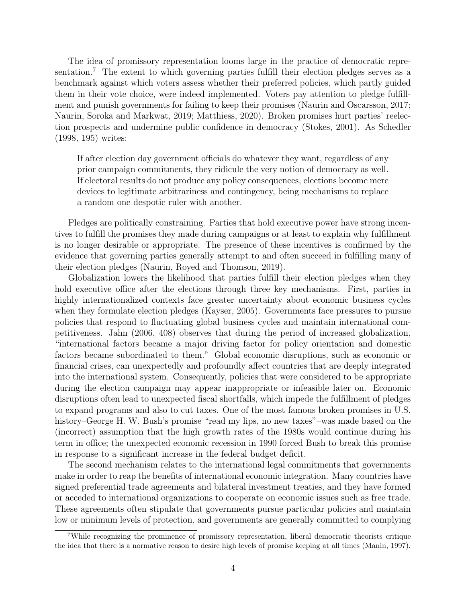The idea of promissory representation looms large in the practice of democratic repre-sentation.<sup>[7](#page-0-0)</sup> The extent to which governing parties fulfill their election pledges serves as a benchmark against which voters assess whether their preferred policies, which partly guided them in their vote choice, were indeed implemented. Voters pay attention to pledge fulfillment and punish governments for failing to keep their promises [\(Naurin and Oscarsson, 2017;](#page-22-2) [Naurin, Soroka and Markwat, 2019;](#page-22-3) [Matthiess, 2020\)](#page-22-4). Broken promises hurt parties' reelection prospects and undermine public confidence in democracy [\(Stokes, 2001\)](#page-23-1). As [Schedler](#page-23-8) [\(1998,](#page-23-8) 195) writes:

If after election day government officials do whatever they want, regardless of any prior campaign commitments, they ridicule the very notion of democracy as well. If electoral results do not produce any policy consequences, elections become mere devices to legitimate arbitrariness and contingency, being mechanisms to replace a random one despotic ruler with another.

Pledges are politically constraining. Parties that hold executive power have strong incentives to fulfill the promises they made during campaigns or at least to explain why fulfillment is no longer desirable or appropriate. The presence of these incentives is confirmed by the evidence that governing parties generally attempt to and often succeed in fulfilling many of their election pledges [\(Naurin, Royed and Thomson, 2019\)](#page-22-7).

Globalization lowers the likelihood that parties fulfill their election pledges when they hold executive office after the elections through three key mechanisms. First, parties in highly internationalized contexts face greater uncertainty about economic business cycles when they formulate election pledges [\(Kayser, 2005\)](#page-21-9). Governments face pressures to pursue policies that respond to fluctuating global business cycles and maintain international competitiveness. [Jahn](#page-21-10) [\(2006,](#page-21-10) 408) observes that during the period of increased globalization, "international factors became a major driving factor for policy orientation and domestic factors became subordinated to them." Global economic disruptions, such as economic or financial crises, can unexpectedly and profoundly affect countries that are deeply integrated into the international system. Consequently, policies that were considered to be appropriate during the election campaign may appear inappropriate or infeasible later on. Economic disruptions often lead to unexpected fiscal shortfalls, which impede the fulfillment of pledges to expand programs and also to cut taxes. One of the most famous broken promises in U.S. history–George H. W. Bush's promise "read my lips, no new taxes"–was made based on the (incorrect) assumption that the high growth rates of the 1980s would continue during his term in office; the unexpected economic recession in 1990 forced Bush to break this promise in response to a significant increase in the federal budget deficit.

The second mechanism relates to the international legal commitments that governments make in order to reap the benefits of international economic integration. Many countries have signed preferential trade agreements and bilateral investment treaties, and they have formed or acceded to international organizations to cooperate on economic issues such as free trade. These agreements often stipulate that governments pursue particular policies and maintain low or minimum levels of protection, and governments are generally committed to complying

<sup>7</sup>While recognizing the prominence of promissory representation, liberal democratic theorists critique the idea that there is a normative reason to desire high levels of promise keeping at all times [\(Manin, 1997\)](#page-22-1).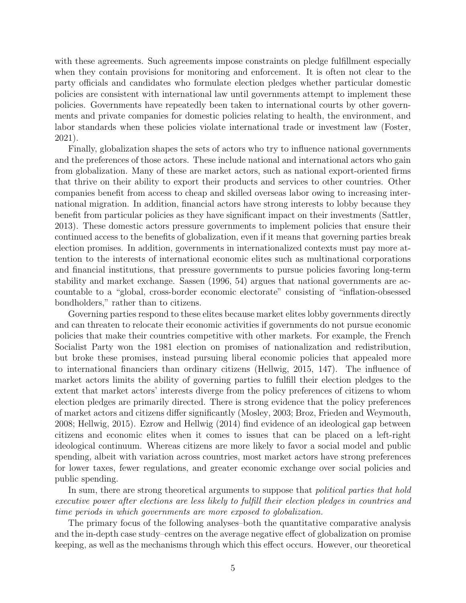with these agreements. Such agreements impose constraints on pledge fulfillment especially when they contain provisions for monitoring and enforcement. It is often not clear to the party officials and candidates who formulate election pledges whether particular domestic policies are consistent with international law until governments attempt to implement these policies. Governments have repeatedly been taken to international courts by other governments and private companies for domestic policies relating to health, the environment, and labor standards when these policies violate international trade or investment law [\(Foster,](#page-21-11) [2021\)](#page-21-11).

Finally, globalization shapes the sets of actors who try to influence national governments and the preferences of those actors. These include national and international actors who gain from globalization. Many of these are market actors, such as national export-oriented firms that thrive on their ability to export their products and services to other countries. Other companies benefit from access to cheap and skilled overseas labor owing to increasing international migration. In addition, financial actors have strong interests to lobby because they benefit from particular policies as they have significant impact on their investments [\(Sattler,](#page-23-9) [2013\)](#page-23-9). These domestic actors pressure governments to implement policies that ensure their continued access to the benefits of globalization, even if it means that governing parties break election promises. In addition, governments in internationalized contexts must pay more attention to the interests of international economic elites such as multinational corporations and financial institutions, that pressure governments to pursue policies favoring long-term stability and market exchange. [Sassen](#page-23-10) [\(1996,](#page-23-10) 54) argues that national governments are accountable to a "global, cross-border economic electorate" consisting of "inflation-obsessed bondholders," rather than to citizens.

Governing parties respond to these elites because market elites lobby governments directly and can threaten to relocate their economic activities if governments do not pursue economic policies that make their countries competitive with other markets. For example, the French Socialist Party won the 1981 election on promises of nationalization and redistribution, but broke these promises, instead pursuing liberal economic policies that appealed more to international financiers than ordinary citizens [\(Hellwig, 2015,](#page-21-2) 147). The influence of market actors limits the ability of governing parties to fulfill their election pledges to the extent that market actors' interests diverge from the policy preferences of citizens to whom election pledges are primarily directed. There is strong evidence that the policy preferences of market actors and citizens differ significantly [\(Mosley, 2003;](#page-22-12) [Broz, Frieden and Weymouth,](#page-20-5) [2008;](#page-20-5) [Hellwig, 2015\)](#page-21-2). [Ezrow and Hellwig](#page-21-1) [\(2014\)](#page-21-1) find evidence of an ideological gap between citizens and economic elites when it comes to issues that can be placed on a left-right ideological continuum. Whereas citizens are more likely to favor a social model and public spending, albeit with variation across countries, most market actors have strong preferences for lower taxes, fewer regulations, and greater economic exchange over social policies and public spending.

In sum, there are strong theoretical arguments to suppose that *political parties that hold* executive power after elections are less likely to fulfill their election pledges in countries and time periods in which governments are more exposed to globalization.

The primary focus of the following analyses–both the quantitative comparative analysis and the in-depth case study–centres on the average negative effect of globalization on promise keeping, as well as the mechanisms through which this effect occurs. However, our theoretical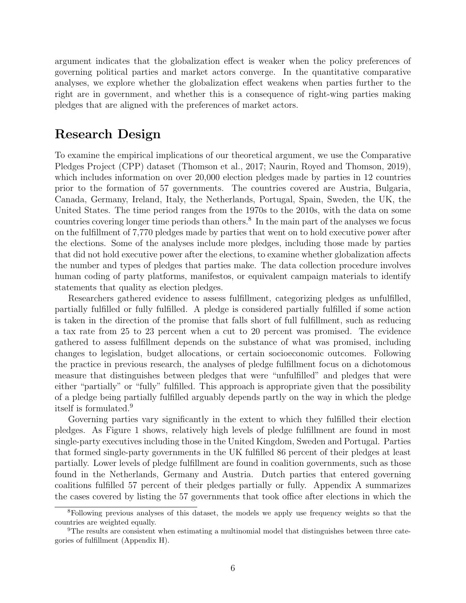argument indicates that the globalization effect is weaker when the policy preferences of governing political parties and market actors converge. In the quantitative comparative analyses, we explore whether the globalization effect weakens when parties further to the right are in government, and whether this is a consequence of right-wing parties making pledges that are aligned with the preferences of market actors.

#### Research Design

To examine the empirical implications of our theoretical argument, we use the Comparative Pledges Project (CPP) dataset [\(Thomson et al., 2017;](#page-23-11) [Naurin, Royed and Thomson, 2019\)](#page-22-7), which includes information on over 20,000 election pledges made by parties in 12 countries prior to the formation of 57 governments. The countries covered are Austria, Bulgaria, Canada, Germany, Ireland, Italy, the Netherlands, Portugal, Spain, Sweden, the UK, the United States. The time period ranges from the 1970s to the 2010s, with the data on some countries covering longer time periods than others.<sup>[8](#page-0-0)</sup> In the main part of the analyses we focus on the fulfillment of 7,770 pledges made by parties that went on to hold executive power after the elections. Some of the analyses include more pledges, including those made by parties that did not hold executive power after the elections, to examine whether globalization affects the number and types of pledges that parties make. The data collection procedure involves human coding of party platforms, manifestos, or equivalent campaign materials to identify statements that quality as election pledges.

Researchers gathered evidence to assess fulfillment, categorizing pledges as unfulfilled, partially fulfilled or fully fulfilled. A pledge is considered partially fulfilled if some action is taken in the direction of the promise that falls short of full fulfillment, such as reducing a tax rate from 25 to 23 percent when a cut to 20 percent was promised. The evidence gathered to assess fulfillment depends on the substance of what was promised, including changes to legislation, budget allocations, or certain socioeconomic outcomes. Following the practice in previous research, the analyses of pledge fulfillment focus on a dichotomous measure that distinguishes between pledges that were "unfulfilled" and pledges that were either "partially" or "fully" fulfilled. This approach is appropriate given that the possibility of a pledge being partially fulfilled arguably depends partly on the way in which the pledge itself is formulated.[9](#page-0-0)

Governing parties vary significantly in the extent to which they fulfilled their election pledges. As Figure [1](#page-6-0) shows, relatively high levels of pledge fulfillment are found in most single-party executives including those in the United Kingdom, Sweden and Portugal. Parties that formed single-party governments in the UK fulfilled 86 percent of their pledges at least partially. Lower levels of pledge fulfillment are found in coalition governments, such as those found in the Netherlands, Germany and Austria. Dutch parties that entered governing coalitions fulfilled 57 percent of their pledges partially or fully. Appendix [A](#page-26-0) summarizes the cases covered by listing the 57 governments that took office after elections in which the

<sup>8</sup>Following previous analyses of this dataset, the models we apply use frequency weights so that the countries are weighted equally.

<sup>&</sup>lt;sup>9</sup>The results are consistent when estimating a multinomial model that distinguishes between three categories of fulfillment (Appendix [H\)](#page-34-0).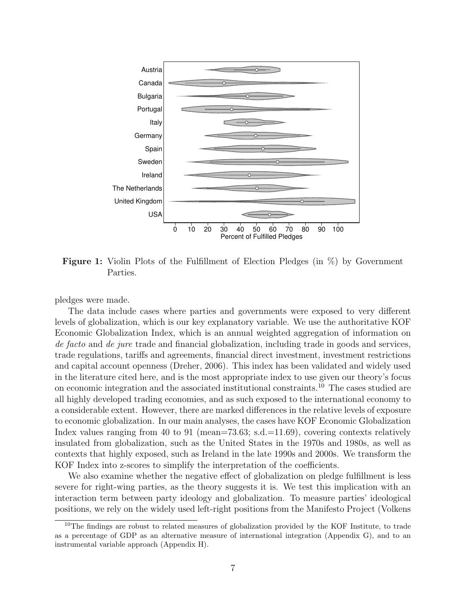<span id="page-6-0"></span>

Figure 1: Violin Plots of the Fulfillment of Election Pledges (in %) by Government Parties.

pledges were made.

The data include cases where parties and governments were exposed to very different levels of globalization, which is our key explanatory variable. We use the authoritative KOF Economic Globalization Index, which is an annual weighted aggregation of information on de facto and de jure trade and financial globalization, including trade in goods and services, trade regulations, tariffs and agreements, financial direct investment, investment restrictions and capital account openness [\(Dreher, 2006\)](#page-20-6). This index has been validated and widely used in the literature cited here, and is the most appropriate index to use given our theory's focus on economic integration and the associated institutional constraints.[10](#page-0-0) The cases studied are all highly developed trading economies, and as such exposed to the international economy to a considerable extent. However, there are marked differences in the relative levels of exposure to economic globalization. In our main analyses, the cases have KOF Economic Globalization Index values ranging from 40 to 91 (mean=73.63; s.d.=11.69), covering contexts relatively insulated from globalization, such as the United States in the 1970s and 1980s, as well as contexts that highly exposed, such as Ireland in the late 1990s and 2000s. We transform the KOF Index into z-scores to simplify the interpretation of the coefficients.

We also examine whether the negative effect of globalization on pledge fulfillment is less severe for right-wing parties, as the theory suggests it is. We test this implication with an interaction term between party ideology and globalization. To measure parties' ideological positions, we rely on the widely used left-right positions from the Manifesto Project [\(Volkens](#page-23-12)

<sup>&</sup>lt;sup>10</sup>[The findings are robust to related measures of globalization provided by the KOF Institute, to trade](#page-23-12) [as a percentage of GDP as an alternative measure of international integration \(Appendix G\), and to an](#page-23-12) [instrumental variable approach \(Appendix H\).](#page-23-12)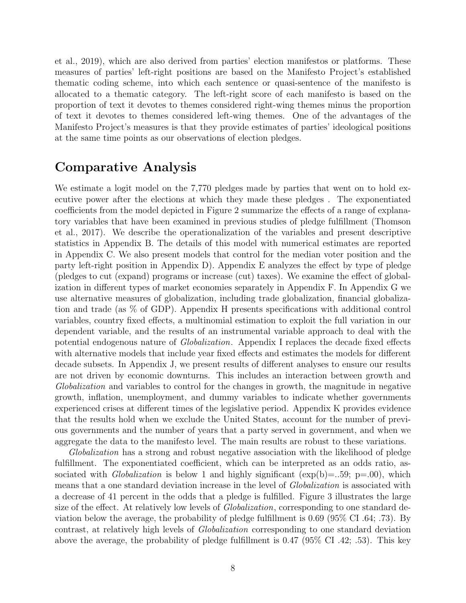[et al., 2019\)](#page-23-12), which are also derived from parties' election manifestos or platforms. These measures of parties' left-right positions are based on the Manifesto Project's established thematic coding scheme, into which each sentence or quasi-sentence of the manifesto is allocated to a thematic category. The left-right score of each manifesto is based on the proportion of text it devotes to themes considered right-wing themes minus the proportion of text it devotes to themes considered left-wing themes. One of the advantages of the Manifesto Project's measures is that they provide estimates of parties' ideological positions at the same time points as our observations of election pledges.

#### Comparative Analysis

We estimate a logit model on the 7,770 pledges made by parties that went on to hold executive power after the elections at which they made these pledges . The exponentiated coefficients from the model depicted in Figure [2](#page-8-0) summarize the effects of a range of explanatory variables that have been examined in previous studies of pledge fulfillment [\(Thomson](#page-23-11) [et al., 2017\)](#page-23-11). We describe the operationalization of the variables and present descriptive statistics in Appendix [B.](#page-27-0) The details of this model with numerical estimates are reported in Appendix [C.](#page-29-0) We also present models that control for the median voter position and the party left-right position in Appendix [D\)](#page-30-0). Appendix [E](#page-31-0) analyzes the effect by type of pledge (pledges to cut (expand) programs or increase (cut) taxes). We examine the effect of globalization in different types of market economies separately in Appendix [F.](#page-32-0) In Appendix [G](#page-33-0) we use alternative measures of globalization, including trade globalization, financial globalization and trade (as % of GDP). Appendix [H](#page-34-0) presents specifications with additional control variables, country fixed effects, a multinomial estimation to exploit the full variation in our dependent variable, and the results of an instrumental variable approach to deal with the potential endogenous nature of Globalization. Appendix [I](#page-37-0) replaces the decade fixed effects with alternative models that include year fixed effects and estimates the models for different decade subsets. In Appendix [J,](#page-38-0) we present results of different analyses to ensure our results are not driven by economic downturns. This includes an interaction between growth and Globalization and variables to control for the changes in growth, the magnitude in negative growth, inflation, unemployment, and dummy variables to indicate whether governments experienced crises at different times of the legislative period. Appendix [K](#page-39-0) provides evidence that the results hold when we exclude the United States, account for the number of previous governments and the number of years that a party served in government, and when we aggregate the data to the manifesto level. The main results are robust to these variations.

Globalization has a strong and robust negative association with the likelihood of pledge fulfillment. The exponentiated coefficient, which can be interpreted as an odds ratio, associated with *Globalization* is below 1 and highly significant ( $\exp(b) = .59$ ;  $p = .00$ ), which means that a one standard deviation increase in the level of *Globalization* is associated with a decrease of 41 percent in the odds that a pledge is fulfilled. Figure [3](#page-9-0) illustrates the large size of the effect. At relatively low levels of *Globalization*, corresponding to one standard deviation below the average, the probability of pledge fulfillment is 0.69 (95% CI .64; .73). By contrast, at relatively high levels of Globalization corresponding to one standard deviation above the average, the probability of pledge fulfillment is 0.47 (95% CI .42; .53). This key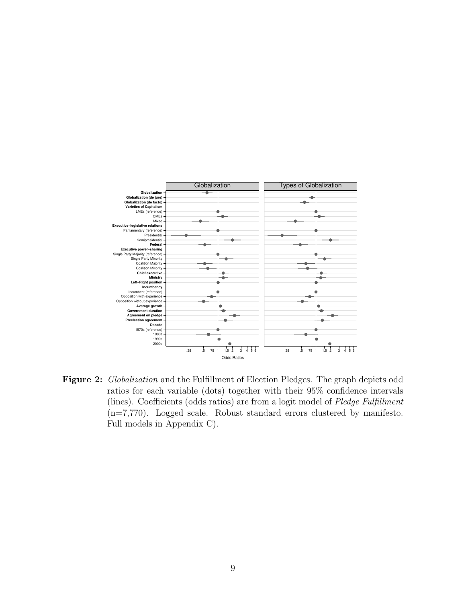<span id="page-8-0"></span>

Figure 2: Globalization and the Fulfillment of Election Pledges. The graph depicts odd ratios for each variable (dots) together with their 95% confidence intervals (lines). Coefficients (odds ratios) are from a logit model of Pledge Fulfillment (n=7,770). Logged scale. Robust standard errors clustered by manifesto. Full models in Appendix [C\)](#page-29-0).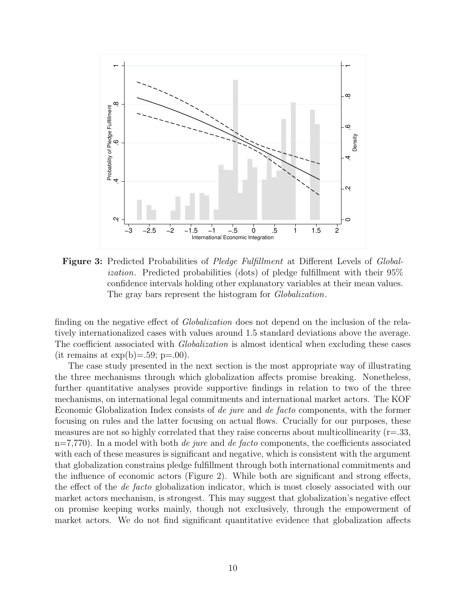<span id="page-9-0"></span>

**Figure 3:** Predicted Probabilities of *Pledge Fulfillment* at Different Levels of *Global*ization. Predicted probabilities (dots) of pledge fulfillment with their 95% confidence intervals holding other explanatory variables at their mean values. The gray bars represent the histogram for *Globalization*.

finding on the negative effect of *Globalization* does not depend on the inclusion of the relatively internationalized cases with values around 1.5 standard deviations above the average. The coefficient associated with *Globalization* is almost identical when excluding these cases (it remains at  $\exp(b)=.59$ ; p=.00).

The case study presented in the next section is the most appropriate way of illustrating the three mechanisms through which globalization affects promise breaking. Nonetheless, further quantitative analyses provide supportive findings in relation to two of the three mechanisms, on international legal commitments and international market actors. The KOF Economic Globalization Index consists of de jure and de facto components, with the former focusing on rules and the latter focusing on actual flows. Crucially for our purposes, these measures are not so highly correlated that they raise concerns about multicollinearity  $(r=.33, ...)$  $n=7,770$ . In a model with both *de jure* and *de facto* components, the coefficients associated with each of these measures is significant and negative, which is consistent with the argument that globalization constrains pledge fulfillment through both international commitments and the influence of economic actors (Figure [2\)](#page-8-0). While both are significant and strong effects, the effect of the de facto globalization indicator, which is most closely associated with our market actors mechanism, is strongest. This may suggest that globalization's negative effect on promise keeping works mainly, though not exclusively, through the empowerment of market actors. We do not find significant quantitative evidence that globalization affects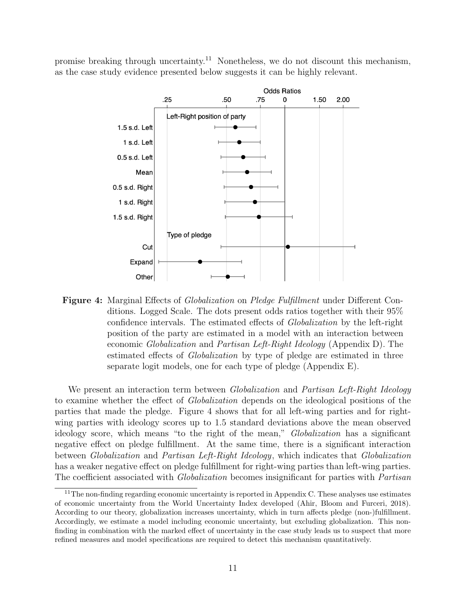<span id="page-10-0"></span>promise breaking through uncertainty.<sup>[11](#page-0-0)</sup> Nonetheless, we do not discount this mechanism, as the case study evidence presented below suggests it can be highly relevant.



**Figure 4:** Marginal Effects of *Globalization* on *Pledge Fulfillment* under Different Conditions. Logged Scale. The dots present odds ratios together with their 95% confidence intervals. The estimated effects of Globalization by the left-right position of the party are estimated in a model with an interaction between economic Globalization and Partisan Left-Right Ideology (Appendix [D\)](#page-30-0). The estimated effects of *Globalization* by type of pledge are estimated in three separate logit models, one for each type of pledge (Appendix [E\)](#page-31-0).

We present an interaction term between *Globalization* and *Partisan Left-Right Ideology* to examine whether the effect of Globalization depends on the ideological positions of the parties that made the pledge. Figure [4](#page-10-0) shows that for all left-wing parties and for rightwing parties with ideology scores up to 1.5 standard deviations above the mean observed ideology score, which means "to the right of the mean," Globalization has a significant negative effect on pledge fulfillment. At the same time, there is a significant interaction between Globalization and Partisan Left-Right Ideology, which indicates that Globalization has a weaker negative effect on pledge fulfillment for right-wing parties than left-wing parties. The coefficient associated with *Globalization* becomes insignificant for parties with *Partisan* 

 $11$ The non-finding regarding economic uncertainty is reported in Appendix [C.](#page-29-0) These analyses use estimates of economic uncertainty from the World Uncertainty Index developed [\(Ahir, Bloom and Furceri, 2018\)](#page-20-7). According to our theory, globalization increases uncertainty, which in turn affects pledge (non-)fulfillment. Accordingly, we estimate a model including economic uncertainty, but excluding globalization. This nonfinding in combination with the marked effect of uncertainty in the case study leads us to suspect that more refined measures and model specifications are required to detect this mechanism quantitatively.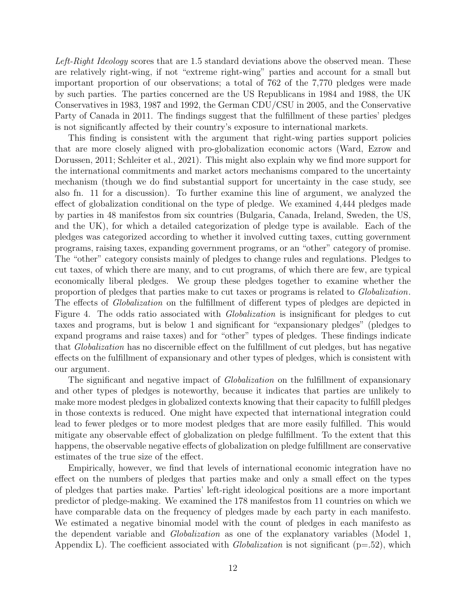Left-Right Ideology scores that are 1.5 standard deviations above the observed mean. These are relatively right-wing, if not "extreme right-wing" parties and account for a small but important proportion of our observations; a total of 762 of the 7,770 pledges were made by such parties. The parties concerned are the US Republicans in 1984 and 1988, the UK Conservatives in 1983, 1987 and 1992, the German CDU/CSU in 2005, and the Conservative Party of Canada in 2011. The findings suggest that the fulfillment of these parties' pledges is not significantly affected by their country's exposure to international markets.

This finding is consistent with the argument that right-wing parties support policies that are more closely aligned with pro-globalization economic actors [\(Ward, Ezrow and](#page-24-2) [Dorussen, 2011;](#page-24-2) [Schleiter et al., 2021\)](#page-23-13). This might also explain why we find more support for the international commitments and market actors mechanisms compared to the uncertainty mechanism (though we do find substantial support for uncertainty in the case study, see also fn. 11 for a discussion). To further examine this line of argument, we analyzed the effect of globalization conditional on the type of pledge. We examined 4,444 pledges made by parties in 48 manifestos from six countries (Bulgaria, Canada, Ireland, Sweden, the US, and the UK), for which a detailed categorization of pledge type is available. Each of the pledges was categorized according to whether it involved cutting taxes, cutting government programs, raising taxes, expanding government programs, or an "other" category of promise. The "other" category consists mainly of pledges to change rules and regulations. Pledges to cut taxes, of which there are many, and to cut programs, of which there are few, are typical economically liberal pledges. We group these pledges together to examine whether the proportion of pledges that parties make to cut taxes or programs is related to Globalization. The effects of *Globalization* on the fulfillment of different types of pledges are depicted in Figure [4.](#page-10-0) The odds ratio associated with *Globalization* is insignificant for pledges to cut taxes and programs, but is below 1 and significant for "expansionary pledges" (pledges to expand programs and raise taxes) and for "other" types of pledges. These findings indicate that Globalization has no discernible effect on the fulfillment of cut pledges, but has negative effects on the fulfillment of expansionary and other types of pledges, which is consistent with our argument.

The significant and negative impact of *Globalization* on the fulfillment of expansionary and other types of pledges is noteworthy, because it indicates that parties are unlikely to make more modest pledges in globalized contexts knowing that their capacity to fulfill pledges in those contexts is reduced. One might have expected that international integration could lead to fewer pledges or to more modest pledges that are more easily fulfilled. This would mitigate any observable effect of globalization on pledge fulfillment. To the extent that this happens, the observable negative effects of globalization on pledge fulfillment are conservative estimates of the true size of the effect.

Empirically, however, we find that levels of international economic integration have no effect on the numbers of pledges that parties make and only a small effect on the types of pledges that parties make. Parties' left-right ideological positions are a more important predictor of pledge-making. We examined the 178 manifestos from 11 countries on which we have comparable data on the frequency of pledges made by each party in each manifesto. We estimated a negative binomial model with the count of pledges in each manifesto as the dependent variable and *Globalization* as one of the explanatory variables (Model 1, Appendix [L\)](#page-40-0). The coefficient associated with *Globalization* is not significant ( $p=52$ ), which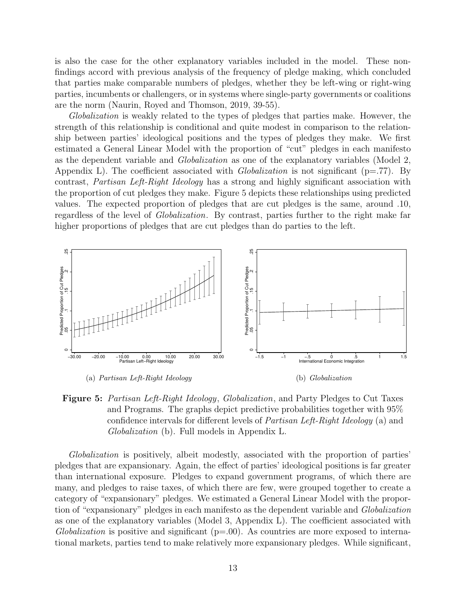is also the case for the other explanatory variables included in the model. These nonfindings accord with previous analysis of the frequency of pledge making, which concluded that parties make comparable numbers of pledges, whether they be left-wing or right-wing parties, incumbents or challengers, or in systems where single-party governments or coalitions are the norm [\(Naurin, Royed and Thomson, 2019,](#page-22-7) 39-55).

Globalization is weakly related to the types of pledges that parties make. However, the strength of this relationship is conditional and quite modest in comparison to the relationship between parties' ideological positions and the types of pledges they make. We first estimated a General Linear Model with the proportion of "cut" pledges in each manifesto as the dependent variable and Globalization as one of the explanatory variables (Model 2, Appendix [L\)](#page-40-0). The coefficient associated with *Globalization* is not significant ( $p=.77$ ). By contrast, Partisan Left-Right Ideology has a strong and highly significant association with the proportion of cut pledges they make. Figure [5](#page-12-0) depicts these relationships using predicted values. The expected proportion of pledges that are cut pledges is the same, around .10, regardless of the level of Globalization. By contrast, parties further to the right make far higher proportions of pledges that are cut pledges than do parties to the left.

<span id="page-12-0"></span>

**Figure 5:** Partisan Left-Right Ideology, Globalization, and Party Pledges to Cut Taxes and Programs. The graphs depict predictive probabilities together with 95% confidence intervals for different levels of Partisan Left-Right Ideology (a) and Globalization (b). Full models in Appendix [L.](#page-40-0)

Globalization is positively, albeit modestly, associated with the proportion of parties' pledges that are expansionary. Again, the effect of parties' ideological positions is far greater than international exposure. Pledges to expand government programs, of which there are many, and pledges to raise taxes, of which there are few, were grouped together to create a category of "expansionary" pledges. We estimated a General Linear Model with the proportion of "expansionary" pledges in each manifesto as the dependent variable and Globalization as one of the explanatory variables (Model 3, Appendix [L\)](#page-40-0). The coefficient associated with Globalization is positive and significant  $(p=0.0)$ . As countries are more exposed to international markets, parties tend to make relatively more expansionary pledges. While significant,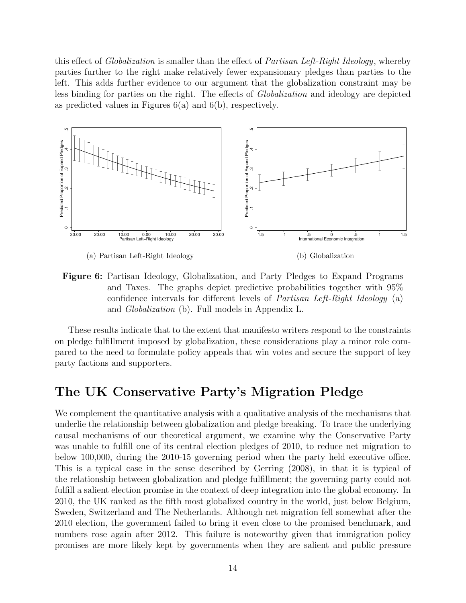this effect of *Globalization* is smaller than the effect of *Partisan Left-Right Ideology*, whereby parties further to the right make relatively fewer expansionary pledges than parties to the left. This adds further evidence to our argument that the globalization constraint may be less binding for parties on the right. The effects of Globalization and ideology are depicted as predicted values in Figures [6\(a\)](#page-13-0) and [6\(b\),](#page-13-1) respectively.

<span id="page-13-0"></span>

<span id="page-13-1"></span>Figure 6: Partisan Ideology, Globalization, and Party Pledges to Expand Programs and Taxes. The graphs depict predictive probabilities together with 95% confidence intervals for different levels of *Partisan Left-Right Ideology* (a) and Globalization (b). Full models in Appendix [L.](#page-40-0)

These results indicate that to the extent that manifesto writers respond to the constraints on pledge fulfillment imposed by globalization, these considerations play a minor role compared to the need to formulate policy appeals that win votes and secure the support of key party factions and supporters.

### The UK Conservative Party's Migration Pledge

We complement the quantitative analysis with a qualitative analysis of the mechanisms that underlie the relationship between globalization and pledge breaking. To trace the underlying causal mechanisms of our theoretical argument, we examine why the Conservative Party was unable to fulfill one of its central election pledges of 2010, to reduce net migration to below 100,000, during the 2010-15 governing period when the party held executive office. This is a typical case in the sense described by [Gerring](#page-21-12) [\(2008\)](#page-21-12), in that it is typical of the relationship between globalization and pledge fulfillment; the governing party could not fulfill a salient election promise in the context of deep integration into the global economy. In 2010, the UK ranked as the fifth most globalized country in the world, just below Belgium, Sweden, Switzerland and The Netherlands. Although net migration fell somewhat after the 2010 election, the government failed to bring it even close to the promised benchmark, and numbers rose again after 2012. This failure is noteworthy given that immigration policy promises are more likely kept by governments when they are salient and public pressure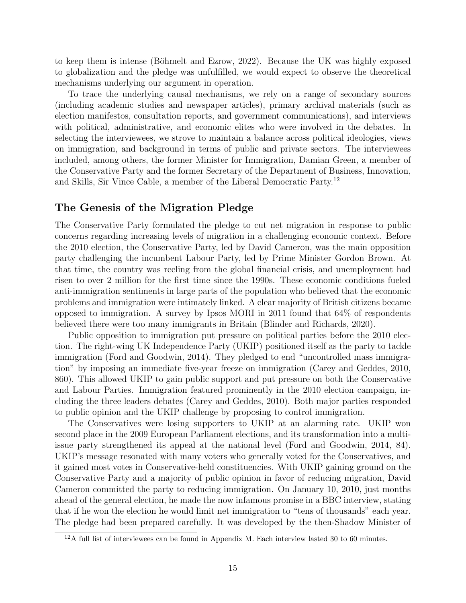to keep them is intense (Böhmelt and Ezrow, 2022). Because the UK was highly exposed to globalization and the pledge was unfulfilled, we would expect to observe the theoretical mechanisms underlying our argument in operation.

To trace the underlying causal mechanisms, we rely on a range of secondary sources (including academic studies and newspaper articles), primary archival materials (such as election manifestos, consultation reports, and government communications), and interviews with political, administrative, and economic elites who were involved in the debates. In selecting the interviewees, we strove to maintain a balance across political ideologies, views on immigration, and background in terms of public and private sectors. The interviewees included, among others, the former Minister for Immigration, Damian Green, a member of the Conservative Party and the former Secretary of the Department of Business, Innovation, and Skills, Sir Vince Cable, a member of the Liberal Democratic Party.[12](#page-0-0)

#### The Genesis of the Migration Pledge

The Conservative Party formulated the pledge to cut net migration in response to public concerns regarding increasing levels of migration in a challenging economic context. Before the 2010 election, the Conservative Party, led by David Cameron, was the main opposition party challenging the incumbent Labour Party, led by Prime Minister Gordon Brown. At that time, the country was reeling from the global financial crisis, and unemployment had risen to over 2 million for the first time since the 1990s. These economic conditions fueled anti-immigration sentiments in large parts of the population who believed that the economic problems and immigration were intimately linked. A clear majority of British citizens became opposed to immigration. A survey by Ipsos MORI in 2011 found that 64% of respondents believed there were too many immigrants in Britain [\(Blinder and Richards, 2020\)](#page-20-9).

Public opposition to immigration put pressure on political parties before the 2010 election. The right-wing UK Independence Party (UKIP) positioned itself as the party to tackle immigration [\(Ford and Goodwin, 2014\)](#page-21-13). They pledged to end "uncontrolled mass immigration" by imposing an immediate five-year freeze on immigration [\(Carey and Geddes, 2010,](#page-20-10) 860). This allowed UKIP to gain public support and put pressure on both the Conservative and Labour Parties. Immigration featured prominently in the 2010 election campaign, including the three leaders debates [\(Carey and Geddes, 2010\)](#page-20-10). Both major parties responded to public opinion and the UKIP challenge by proposing to control immigration.

The Conservatives were losing supporters to UKIP at an alarming rate. UKIP won second place in the 2009 European Parliament elections, and its transformation into a multiissue party strengthened its appeal at the national level [\(Ford and Goodwin, 2014,](#page-21-13) 84). UKIP's message resonated with many voters who generally voted for the Conservatives, and it gained most votes in Conservative-held constituencies. With UKIP gaining ground on the Conservative Party and a majority of public opinion in favor of reducing migration, David Cameron committed the party to reducing immigration. On January 10, 2010, just months ahead of the general election, he made the now infamous promise in a BBC interview, stating that if he won the election he would limit net immigration to "tens of thousands" each year. The pledge had been prepared carefully. It was developed by the then-Shadow Minister of

<sup>&</sup>lt;sup>12</sup>A full list of interviewees can be found in Appendix [M.](#page-41-0) Each interview lasted 30 to 60 minutes.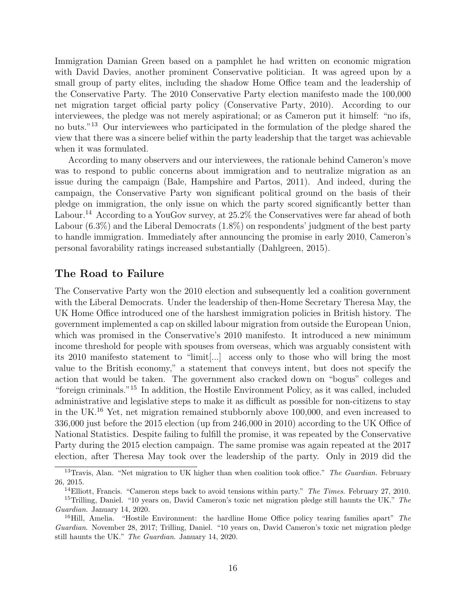Immigration Damian Green based on a pamphlet he had written on economic migration with David Davies, another prominent Conservative politician. It was agreed upon by a small group of party elites, including the shadow Home Office team and the leadership of the Conservative Party. The 2010 Conservative Party election manifesto made the 100,000 net migration target official party policy [\(Conservative Party, 2010\)](#page-20-11). According to our interviewees, the pledge was not merely aspirational; or as Cameron put it himself: "no ifs, no buts."[13](#page-0-0) Our interviewees who participated in the formulation of the pledge shared the view that there was a sincere belief within the party leadership that the target was achievable when it was formulated.

According to many observers and our interviewees, the rationale behind Cameron's move was to respond to public concerns about immigration and to neutralize migration as an issue during the campaign [\(Bale, Hampshire and Partos, 2011\)](#page-20-12). And indeed, during the campaign, the Conservative Party won significant political ground on the basis of their pledge on immigration, the only issue on which the party scored significantly better than Labour.<sup>[14](#page-0-0)</sup> According to a YouGov survey, at 25.2% the Conservatives were far ahead of both Labour (6.3%) and the Liberal Democrats (1.8%) on respondents' judgment of the best party to handle immigration. Immediately after announcing the promise in early 2010, Cameron's personal favorability ratings increased substantially [\(Dahlgreen, 2015\)](#page-20-13).

#### The Road to Failure

The Conservative Party won the 2010 election and subsequently led a coalition government with the Liberal Democrats. Under the leadership of then-Home Secretary Theresa May, the UK Home Office introduced one of the harshest immigration policies in British history. The government implemented a cap on skilled labour migration from outside the European Union, which was promised in the Conservative's 2010 manifesto. It introduced a new minimum income threshold for people with spouses from overseas, which was arguably consistent with its 2010 manifesto statement to "limit[...] access only to those who will bring the most value to the British economy," a statement that conveys intent, but does not specify the action that would be taken. The government also cracked down on "bogus" colleges and "foreign criminals."[15](#page-0-0) In addition, the Hostile Environment Policy, as it was called, included administrative and legislative steps to make it as difficult as possible for non-citizens to stay in the UK.[16](#page-0-0) Yet, net migration remained stubbornly above 100,000, and even increased to 336,000 just before the 2015 election (up from 246,000 in 2010) according to the UK Office of National Statistics. Despite failing to fulfill the promise, it was repeated by the Conservative Party during the 2015 election campaign. The same promise was again repeated at the 2017 election, after Theresa May took over the leadership of the party. Only in 2019 did the

<sup>&</sup>lt;sup>13</sup>Travis, Alan. "Net migration to UK higher than when coalition took office." The Guardian. February 26, 2015.

<sup>&</sup>lt;sup>14</sup>Elliott, Francis. "Cameron steps back to avoid tensions within party." The Times. February 27, 2010. <sup>15</sup>Trilling, Daniel. "10 years on, David Cameron's toxic net migration pledge still haunts the UK." The Guardian. January 14, 2020.

<sup>&</sup>lt;sup>16</sup>Hill, Amelia. "Hostile Environment: the hardline Home Office policy tearing families apart" The Guardian. November 28, 2017; Trilling, Daniel. "10 years on, David Cameron's toxic net migration pledge still haunts the UK." The Guardian. January 14, 2020.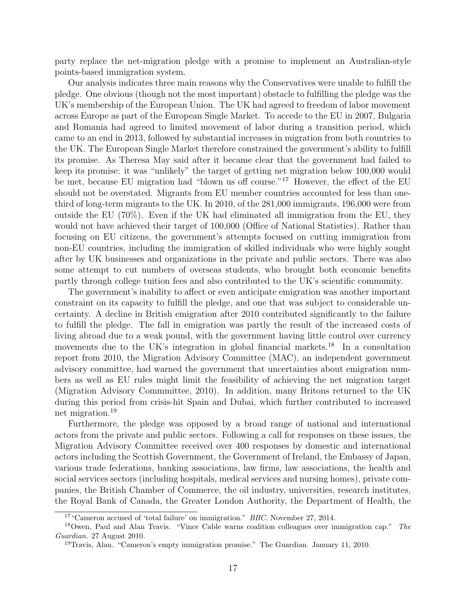party replace the net-migration pledge with a promise to implement an Australian-style points-based immigration system.

Our analysis indicates three main reasons why the Conservatives were unable to fulfill the pledge. One obvious (though not the most important) obstacle to fulfilling the pledge was the UK's membership of the European Union. The UK had agreed to freedom of labor movement across Europe as part of the European Single Market. To accede to the EU in 2007, Bulgaria and Romania had agreed to limited movement of labor during a transition period, which came to an end in 2013, followed by substantial increases in migration from both countries to the UK. The European Single Market therefore constrained the government's ability to fulfill its promise. As Theresa May said after it became clear that the government had failed to keep its promise: it was "unlikely" the target of getting net migration below 100,000 would be met, because EU migration had "blown us off course."[17](#page-0-0) However, the effect of the EU should not be overstated. Migrants from EU member countries accounted for less than onethird of long-term migrants to the UK. In 2010, of the 281,000 immigrants, 196,000 were from outside the EU (70%). Even if the UK had eliminated all immigration from the EU, they would not have achieved their target of 100,000 (Office of National Statistics). Rather than focusing on EU citizens, the government's attempts focused on cutting immigration from non-EU countries, including the immigration of skilled individuals who were highly sought after by UK businesses and organizations in the private and public sectors. There was also some attempt to cut numbers of overseas students, who brought both economic benefits partly through college tuition fees and also contributed to the UK's scientific community.

The government's inability to affect or even anticipate emigration was another important constraint on its capacity to fulfill the pledge, and one that was subject to considerable uncertainty. A decline in British emigration after 2010 contributed significantly to the failure to fulfill the pledge. The fall in emigration was partly the result of the increased costs of living abroad due to a weak pound, with the government having little control over currency movements due to the UK's integration in global financial markets.<sup>[18](#page-0-0)</sup> In a consultation report from 2010, the Migration Advisory Committee (MAC), an independent government advisory committee, had warned the government that uncertainties about emigration numbers as well as EU rules might limit the feasibility of achieving the net migration target [\(Migration Advisory Commmittee, 2010\)](#page-22-13). In addition, many Britons returned to the UK during this period from crisis-hit Spain and Dubai, which further contributed to increased net migration.[19](#page-0-0)

Furthermore, the pledge was opposed by a broad range of national and international actors from the private and public sectors. Following a call for responses on these issues, the Migration Advisory Committee received over 400 responses by domestic and international actors including the Scottish Government, the Government of Ireland, the Embassy of Japan, various trade federations, banking associations, law firms, law associations, the health and social services sectors (including hospitals, medical services and nursing homes), private companies, the British Chamber of Commerce, the oil industry, universities, research institutes, the Royal Bank of Canada, the Greater London Authority, the Department of Health, the

<sup>17</sup>"Cameron accused of 'total failure' on immigration." BBC. November 27, 2014.

<sup>&</sup>lt;sup>18</sup>Owen, Paul and Alan Travis. "Vince Cable warns coalition colleagues over immigration cap." The Guardian. 27 August 2010.

<sup>19</sup>Travis, Alan. "Cameron's empty immigration promise." The Guardian. January 11, 2010.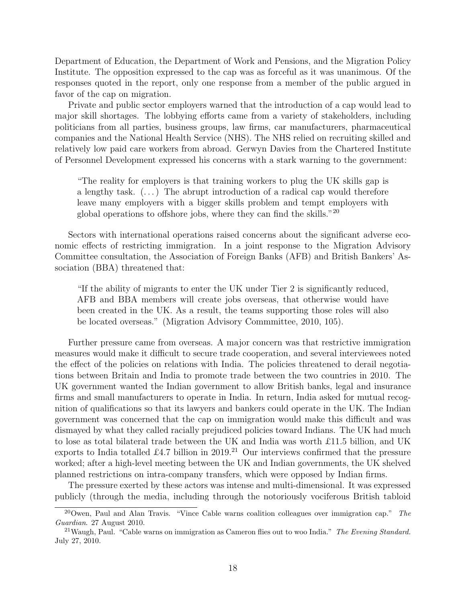Department of Education, the Department of Work and Pensions, and the Migration Policy Institute. The opposition expressed to the cap was as forceful as it was unanimous. Of the responses quoted in the report, only one response from a member of the public argued in favor of the cap on migration.

Private and public sector employers warned that the introduction of a cap would lead to major skill shortages. The lobbying efforts came from a variety of stakeholders, including politicians from all parties, business groups, law firms, car manufacturers, pharmaceutical companies and the National Health Service (NHS). The NHS relied on recruiting skilled and relatively low paid care workers from abroad. Gerwyn Davies from the Chartered Institute of Personnel Development expressed his concerns with a stark warning to the government:

"The reality for employers is that training workers to plug the UK skills gap is a lengthy task.  $(\dots)$  The abrupt introduction of a radical cap would therefore leave many employers with a bigger skills problem and tempt employers with global operations to offshore jobs, where they can find the skills."[20](#page-0-0)

Sectors with international operations raised concerns about the significant adverse economic effects of restricting immigration. In a joint response to the Migration Advisory Committee consultation, the Association of Foreign Banks (AFB) and British Bankers' Association (BBA) threatened that:

"If the ability of migrants to enter the UK under Tier 2 is significantly reduced, AFB and BBA members will create jobs overseas, that otherwise would have been created in the UK. As a result, the teams supporting those roles will also be located overseas." [\(Migration Advisory Commmittee, 2010,](#page-22-13) 105).

Further pressure came from overseas. A major concern was that restrictive immigration measures would make it difficult to secure trade cooperation, and several interviewees noted the effect of the policies on relations with India. The policies threatened to derail negotiations between Britain and India to promote trade between the two countries in 2010. The UK government wanted the Indian government to allow British banks, legal and insurance firms and small manufacturers to operate in India. In return, India asked for mutual recognition of qualifications so that its lawyers and bankers could operate in the UK. The Indian government was concerned that the cap on immigration would make this difficult and was dismayed by what they called racially prejudiced policies toward Indians. The UK had much to lose as total bilateral trade between the UK and India was worth £11.5 billion, and UK exports to India totalled £4.7 billion in 2019.<sup>[21](#page-0-0)</sup> Our interviews confirmed that the pressure worked; after a high-level meeting between the UK and Indian governments, the UK shelved planned restrictions on intra-company transfers, which were opposed by Indian firms.

The pressure exerted by these actors was intense and multi-dimensional. It was expressed publicly (through the media, including through the notoriously vociferous British tabloid

 $20$ Owen, Paul and Alan Travis. "Vince Cable warns coalition colleagues over immigration cap." The Guardian. 27 August 2010.

<sup>&</sup>lt;sup>21</sup> Waugh, Paul. "Cable warns on immigration as Cameron flies out to woo India." The Evening Standard. July 27, 2010.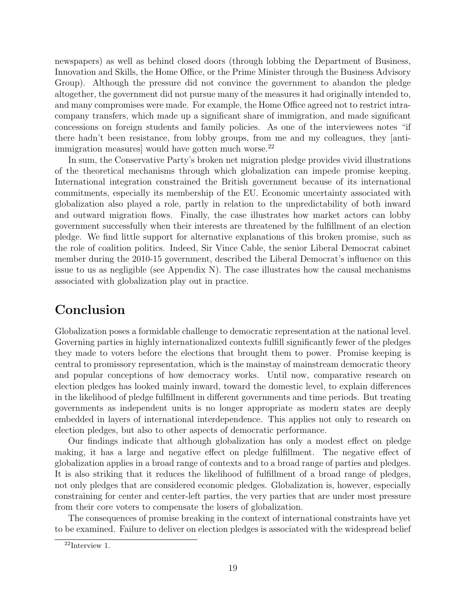newspapers) as well as behind closed doors (through lobbing the Department of Business, Innovation and Skills, the Home Office, or the Prime Minister through the Business Advisory Group). Although the pressure did not convince the government to abandon the pledge altogether, the government did not pursue many of the measures it had originally intended to, and many compromises were made. For example, the Home Office agreed not to restrict intracompany transfers, which made up a significant share of immigration, and made significant concessions on foreign students and family policies. As one of the interviewees notes "if there hadn't been resistance, from lobby groups, from me and my colleagues, they [anti-immigration measures] would have gotten much worse.<sup>[22](#page-0-0)</sup>

In sum, the Conservative Party's broken net migration pledge provides vivid illustrations of the theoretical mechanisms through which globalization can impede promise keeping. International integration constrained the British government because of its international commitments, especially its membership of the EU. Economic uncertainty associated with globalization also played a role, partly in relation to the unpredictability of both inward and outward migration flows. Finally, the case illustrates how market actors can lobby government successfully when their interests are threatened by the fulfillment of an election pledge. We find little support for alternative explanations of this broken promise, such as the role of coalition politics. Indeed, Sir Vince Cable, the senior Liberal Democrat cabinet member during the 2010-15 government, described the Liberal Democrat's influence on this issue to us as negligible (see Appendix [N\)](#page-42-0). The case illustrates how the causal mechanisms associated with globalization play out in practice.

### Conclusion

Globalization poses a formidable challenge to democratic representation at the national level. Governing parties in highly internationalized contexts fulfill significantly fewer of the pledges they made to voters before the elections that brought them to power. Promise keeping is central to promissory representation, which is the mainstay of mainstream democratic theory and popular conceptions of how democracy works. Until now, comparative research on election pledges has looked mainly inward, toward the domestic level, to explain differences in the likelihood of pledge fulfillment in different governments and time periods. But treating governments as independent units is no longer appropriate as modern states are deeply embedded in layers of international interdependence. This applies not only to research on election pledges, but also to other aspects of democratic performance.

Our findings indicate that although globalization has only a modest effect on pledge making, it has a large and negative effect on pledge fulfillment. The negative effect of globalization applies in a broad range of contexts and to a broad range of parties and pledges. It is also striking that it reduces the likelihood of fulfillment of a broad range of pledges, not only pledges that are considered economic pledges. Globalization is, however, especially constraining for center and center-left parties, the very parties that are under most pressure from their core voters to compensate the losers of globalization.

The consequences of promise breaking in the context of international constraints have yet to be examined. Failure to deliver on election pledges is associated with the widespread belief

 $22$ Interview 1.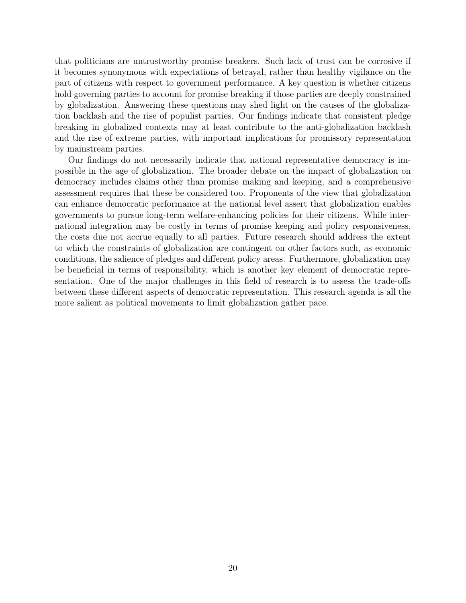that politicians are untrustworthy promise breakers. Such lack of trust can be corrosive if it becomes synonymous with expectations of betrayal, rather than healthy vigilance on the part of citizens with respect to government performance. A key question is whether citizens hold governing parties to account for promise breaking if those parties are deeply constrained by globalization. Answering these questions may shed light on the causes of the globalization backlash and the rise of populist parties. Our findings indicate that consistent pledge breaking in globalized contexts may at least contribute to the anti-globalization backlash and the rise of extreme parties, with important implications for promissory representation by mainstream parties.

Our findings do not necessarily indicate that national representative democracy is impossible in the age of globalization. The broader debate on the impact of globalization on democracy includes claims other than promise making and keeping, and a comprehensive assessment requires that these be considered too. Proponents of the view that globalization can enhance democratic performance at the national level assert that globalization enables governments to pursue long-term welfare-enhancing policies for their citizens. While international integration may be costly in terms of promise keeping and policy responsiveness, the costs due not accrue equally to all parties. Future research should address the extent to which the constraints of globalization are contingent on other factors such, as economic conditions, the salience of pledges and different policy areas. Furthermore, globalization may be beneficial in terms of responsibility, which is another key element of democratic representation. One of the major challenges in this field of research is to assess the trade-offs between these different aspects of democratic representation. This research agenda is all the more salient as political movements to limit globalization gather pace.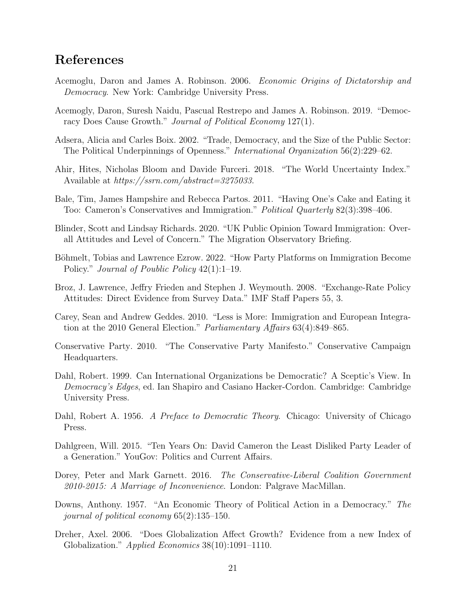### References

- <span id="page-20-3"></span>Acemoglu, Daron and James A. Robinson. 2006. Economic Origins of Dictatorship and Democracy. New York: Cambridge University Press.
- <span id="page-20-14"></span>Acemogly, Daron, Suresh Naidu, Pascual Restrepo and James A. Robinson. 2019. "Democracy Does Cause Growth." Journal of Political Economy 127(1).
- <span id="page-20-4"></span>Adsera, Alicia and Carles Boix. 2002. "Trade, Democracy, and the Size of the Public Sector: The Political Underpinnings of Openness." International Organization 56(2):229–62.
- <span id="page-20-7"></span>Ahir, Hites, Nicholas Bloom and Davide Furceri. 2018. "The World Uncertainty Index." Available at https://ssrn.com/abstract=3275033.
- <span id="page-20-12"></span>Bale, Tim, James Hampshire and Rebecca Partos. 2011. "Having One's Cake and Eating it Too: Cameron's Conservatives and Immigration." Political Quarterly 82(3):398–406.
- <span id="page-20-9"></span>Blinder, Scott and Lindsay Richards. 2020. "UK Public Opinion Toward Immigration: Overall Attitudes and Level of Concern." The Migration Observatory Briefing.
- <span id="page-20-8"></span>Böhmelt, Tobias and Lawrence Ezrow. 2022. "How Party Platforms on Immigration Become Policy." *Journal of Poublic Policy* 42(1):1–19.
- <span id="page-20-5"></span>Broz, J. Lawrence, Jeffry Frieden and Stephen J. Weymouth. 2008. "Exchange-Rate Policy Attitudes: Direct Evidence from Survey Data." IMF Staff Papers 55, 3.
- <span id="page-20-10"></span>Carey, Sean and Andrew Geddes. 2010. "Less is More: Immigration and European Integration at the 2010 General Election." Parliamentary Affairs 63(4):849–865.
- <span id="page-20-11"></span>Conservative Party. 2010. "The Conservative Party Manifesto." Conservative Campaign Headquarters.
- <span id="page-20-2"></span>Dahl, Robert. 1999. Can International Organizations be Democratic? A Sceptic's View. In Democracy's Edges, ed. Ian Shapiro and Casiano Hacker-Cordon. Cambridge: Cambridge University Press.
- <span id="page-20-0"></span>Dahl, Robert A. 1956. A Preface to Democratic Theory. Chicago: University of Chicago Press.
- <span id="page-20-13"></span>Dahlgreen, Will. 2015. "Ten Years On: David Cameron the Least Disliked Party Leader of a Generation." YouGov: Politics and Current Affairs.
- <span id="page-20-15"></span>Dorey, Peter and Mark Garnett. 2016. The Conservative-Liberal Coalition Government 2010-2015: A Marriage of Inconvenience. London: Palgrave MacMillan.
- <span id="page-20-1"></span>Downs, Anthony. 1957. "An Economic Theory of Political Action in a Democracy." The journal of political economy 65(2):135–150.
- <span id="page-20-6"></span>Dreher, Axel. 2006. "Does Globalization Affect Growth? Evidence from a new Index of Globalization." Applied Economics 38(10):1091-1110.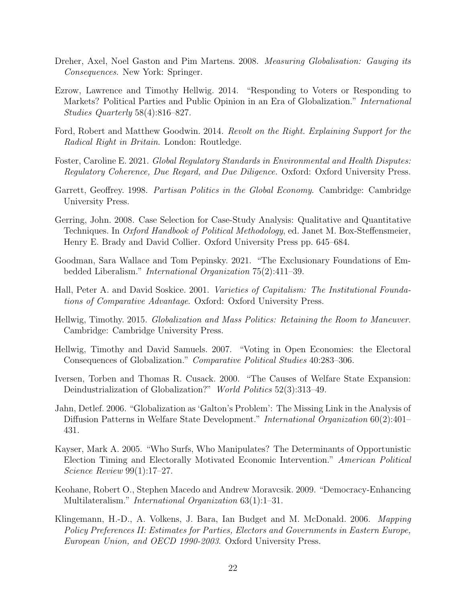- <span id="page-21-8"></span>Dreher, Axel, Noel Gaston and Pim Martens. 2008. Measuring Globalisation: Gauging its Consequences. New York: Springer.
- <span id="page-21-1"></span>Ezrow, Lawrence and Timothy Hellwig. 2014. "Responding to Voters or Responding to Markets? Political Parties and Public Opinion in an Era of Globalization." International Studies Quarterly 58(4):816–827.
- <span id="page-21-13"></span>Ford, Robert and Matthew Goodwin. 2014. Revolt on the Right. Explaining Support for the Radical Right in Britain. London: Routledge.
- <span id="page-21-11"></span>Foster, Caroline E. 2021. Global Regulatory Standards in Environmental and Health Disputes: Regulatory Coherence, Due Regard, and Due Diligence. Oxford: Oxford University Press.
- <span id="page-21-6"></span>Garrett, Geoffrey. 1998. Partisan Politics in the Global Economy. Cambridge: Cambridge University Press.
- <span id="page-21-12"></span>Gerring, John. 2008. Case Selection for Case-Study Analysis: Qualitative and Quantitative Techniques. In Oxford Handbook of Political Methodology, ed. Janet M. Box-Steffensmeier, Henry E. Brady and David Collier. Oxford University Press pp. 645–684.
- <span id="page-21-3"></span>Goodman, Sara Wallace and Tom Pepinsky. 2021. "The Exclusionary Foundations of Embedded Liberalism." International Organization 75(2):411–39.
- <span id="page-21-14"></span>Hall, Peter A. and David Soskice. 2001. Varieties of Capitalism: The Institutional Foundations of Comparative Advantage. Oxford: Oxford University Press.
- <span id="page-21-2"></span>Hellwig, Timothy. 2015. Globalization and Mass Politics: Retaining the Room to Maneuver. Cambridge: Cambridge University Press.
- <span id="page-21-0"></span>Hellwig, Timothy and David Samuels. 2007. "Voting in Open Economies: the Electoral Consequences of Globalization." Comparative Political Studies 40:283–306.
- <span id="page-21-7"></span>Iversen, Torben and Thomas R. Cusack. 2000. "The Causes of Welfare State Expansion: Deindustrialization of Globalization?" World Politics 52(3):313-49.
- <span id="page-21-10"></span>Jahn, Detlef. 2006. "Globalization as 'Galton's Problem': The Missing Link in the Analysis of Diffusion Patterns in Welfare State Development." International Organization 60(2):401– 431.
- <span id="page-21-9"></span>Kayser, Mark A. 2005. "Who Surfs, Who Manipulates? The Determinants of Opportunistic Election Timing and Electorally Motivated Economic Intervention." American Political Science Review 99(1):17–27.
- <span id="page-21-5"></span>Keohane, Robert O., Stephen Macedo and Andrew Moravcsik. 2009. "Democracy-Enhancing Multilateralism." *International Organization* 63(1):1–31.
- <span id="page-21-4"></span>Klingemann, H.-D., A. Volkens, J. Bara, Ian Budget and M. McDonald. 2006. Mapping Policy Preferences II: Estimates for Parties, Electors and Governments in Eastern Europe, European Union, and OECD 1990-2003. Oxford University Press.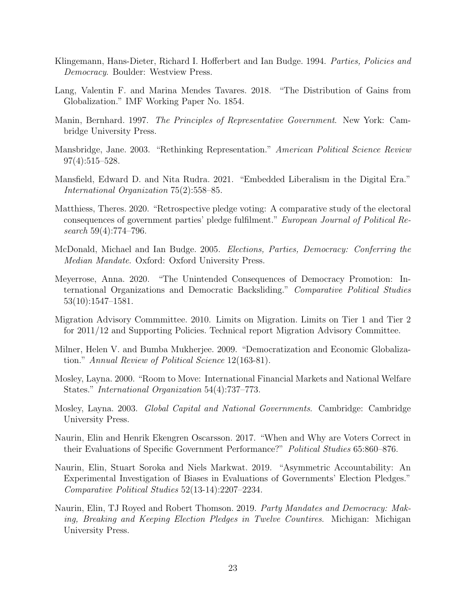- <span id="page-22-5"></span>Klingemann, Hans-Dieter, Richard I. Hofferbert and Ian Budge. 1994. Parties, Policies and Democracy. Boulder: Westview Press.
- <span id="page-22-14"></span>Lang, Valentin F. and Marina Mendes Tavares. 2018. "The Distribution of Gains from Globalization." IMF Working Paper No. 1854.
- <span id="page-22-1"></span>Manin, Bernhard. 1997. The Principles of Representative Government. New York: Cambridge University Press.
- <span id="page-22-0"></span>Mansbridge, Jane. 2003. "Rethinking Representation." American Political Science Review 97(4):515–528.
- <span id="page-22-8"></span>Mansfield, Edward D. and Nita Rudra. 2021. "Embedded Liberalism in the Digital Era." International Organization 75(2):558–85.
- <span id="page-22-4"></span>Matthiess, Theres. 2020. "Retrospective pledge voting: A comparative study of the electoral consequences of government parties' pledge fulfilment." European Journal of Political Research 59(4):774–796.
- <span id="page-22-6"></span>McDonald, Michael and Ian Budge. 2005. Elections, Parties, Democracy: Conferring the Median Mandate. Oxford: Oxford University Press.
- <span id="page-22-9"></span>Meyerrose, Anna. 2020. "The Unintended Consequences of Democracy Promotion: International Organizations and Democratic Backsliding." Comparative Political Studies 53(10):1547–1581.
- <span id="page-22-13"></span>Migration Advisory Commmittee. 2010. Limits on Migration. Limits on Tier 1 and Tier 2 for 2011/12 and Supporting Policies. Technical report Migration Advisory Committee.
- <span id="page-22-10"></span>Milner, Helen V. and Bumba Mukherjee. 2009. "Democratization and Economic Globalization." Annual Review of Political Science 12(163-81).
- <span id="page-22-11"></span>Mosley, Layna. 2000. "Room to Move: International Financial Markets and National Welfare States." International Organization 54(4):737–773.
- <span id="page-22-12"></span>Mosley, Layna. 2003. Global Capital and National Governments. Cambridge: Cambridge University Press.
- <span id="page-22-2"></span>Naurin, Elin and Henrik Ekengren Oscarsson. 2017. "When and Why are Voters Correct in their Evaluations of Specific Government Performance?" Political Studies 65:860–876.
- <span id="page-22-3"></span>Naurin, Elin, Stuart Soroka and Niels Markwat. 2019. "Asymmetric Accountability: An Experimental Investigation of Biases in Evaluations of Governments' Election Pledges." Comparative Political Studies 52(13-14):2207–2234.
- <span id="page-22-7"></span>Naurin, Elin, TJ Royed and Robert Thomson. 2019. Party Mandates and Democracy: Making, Breaking and Keeping Election Pledges in Twelve Countires. Michigan: Michigan University Press.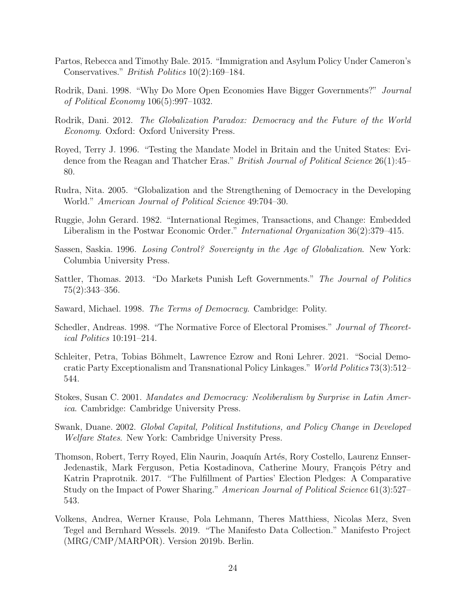- <span id="page-23-14"></span>Partos, Rebecca and Timothy Bale. 2015. "Immigration and Asylum Policy Under Cameron's Conservatives." British Politics 10(2):169–184.
- <span id="page-23-6"></span>Rodrik, Dani. 1998. "Why Do More Open Economies Have Bigger Governments?" Journal of Political Economy 106(5):997–1032.
- <span id="page-23-2"></span>Rodrik, Dani. 2012. The Globalization Paradox: Democracy and the Future of the World Economy. Oxford: Oxford University Press.
- <span id="page-23-4"></span>Royed, Terry J. 1996. "Testing the Mandate Model in Britain and the United States: Evidence from the Reagan and Thatcher Eras." *British Journal of Political Science* 26(1):45– 80.
- <span id="page-23-5"></span>Rudra, Nita. 2005. "Globalization and the Strengthening of Democracy in the Developing World." American Journal of Political Science 49:704–30.
- <span id="page-23-3"></span>Ruggie, John Gerard. 1982. "International Regimes, Transactions, and Change: Embedded Liberalism in the Postwar Economic Order." International Organization 36(2):379–415.
- <span id="page-23-10"></span>Sassen, Saskia. 1996. Losing Control? Sovereignty in the Age of Globalization. New York: Columbia University Press.
- <span id="page-23-9"></span>Sattler, Thomas. 2013. "Do Markets Punish Left Governments." The Journal of Politics 75(2):343–356.
- <span id="page-23-0"></span>Saward, Michael. 1998. The Terms of Democracy. Cambridge: Polity.
- <span id="page-23-8"></span>Schedler, Andreas. 1998. "The Normative Force of Electoral Promises." Journal of Theoretical Politics 10:191–214.
- <span id="page-23-13"></span>Schleiter, Petra, Tobias Böhmelt, Lawrence Ezrow and Roni Lehrer. 2021. "Social Democratic Party Exceptionalism and Transnational Policy Linkages." World Politics 73(3):512– 544.
- <span id="page-23-1"></span>Stokes, Susan C. 2001. Mandates and Democracy: Neoliberalism by Surprise in Latin America. Cambridge: Cambridge University Press.
- <span id="page-23-7"></span>Swank, Duane. 2002. Global Capital, Political Institutions, and Policy Change in Developed Welfare States. New York: Cambridge University Press.
- <span id="page-23-11"></span>Thomson, Robert, Terry Royed, Elin Naurin, Joaquín Artés, Rory Costello, Laurenz Ennser-Jedenastik, Mark Ferguson, Petia Kostadinova, Catherine Moury, François Pétry and Katrin Praprotnik. 2017. "The Fulfillment of Parties' Election Pledges: A Comparative Study on the Impact of Power Sharing." American Journal of Political Science 61(3):527– 543.
- <span id="page-23-12"></span>Volkens, Andrea, Werner Krause, Pola Lehmann, Theres Matthiess, Nicolas Merz, Sven Tegel and Bernhard Wessels. 2019. "The Manifesto Data Collection." Manifesto Project (MRG/CMP/MARPOR). Version 2019b. Berlin.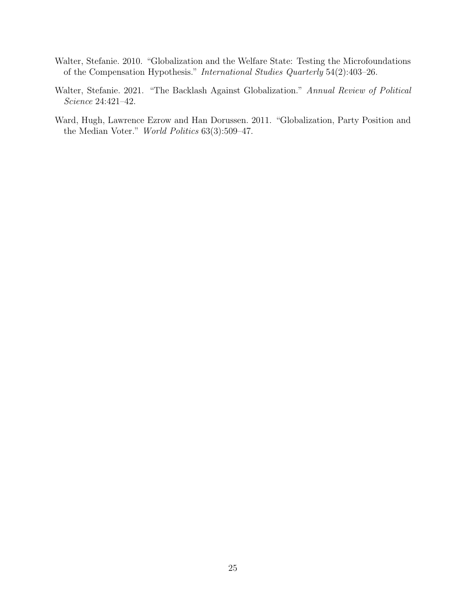- <span id="page-24-0"></span>Walter, Stefanie. 2010. "Globalization and the Welfare State: Testing the Microfoundations of the Compensation Hypothesis." International Studies Quarterly 54(2):403–26.
- <span id="page-24-1"></span>Walter, Stefanie. 2021. "The Backlash Against Globalization." Annual Review of Political Science 24:421–42.
- <span id="page-24-2"></span>Ward, Hugh, Lawrence Ezrow and Han Dorussen. 2011. "Globalization, Party Position and the Median Voter." World Politics 63(3):509–47.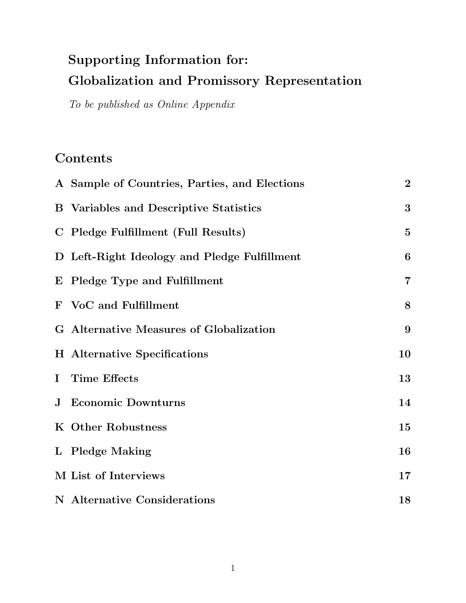# Supporting Information for: Globalization and Promissory Representation

To be published as Online Appendix

### Contents

| A Sample of Countries, Parties, and Elections | $\bf{2}$         |
|-----------------------------------------------|------------------|
| <b>B</b> Variables and Descriptive Statistics | 3                |
| C Pledge Fulfillment (Full Results)           | $\mathbf{5}$     |
| D Left-Right Ideology and Pledge Fulfillment  | $\boldsymbol{6}$ |
| E Pledge Type and Fulfillment                 | $\overline{7}$   |
| F VoC and Fulfillment                         | 8                |
| G Alternative Measures of Globalization       | $9\phantom{.}$   |
| <b>H</b> Alternative Specifications           | 10               |
| I Time Effects                                | 13               |
| <b>J</b> Economic Downturns                   | 14               |
| K Other Robustness                            | 15               |
| L Pledge Making                               | 16               |
| M List of Interviews                          | 17               |
| N Alternative Considerations                  | 18               |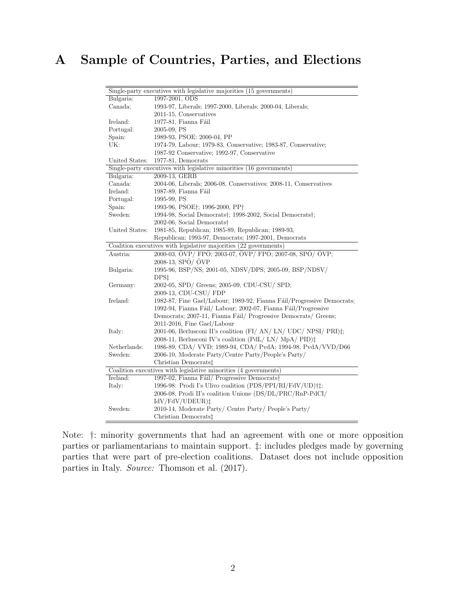### <span id="page-26-0"></span>A Sample of Countries, Parties, and Elections

|                | Single-party executives with legislative majorities (15 governments)         |
|----------------|------------------------------------------------------------------------------|
| Bulgaria:      | 1997-2001, ODS                                                               |
| Canada:        | 1993-97, Liberals; 1997-2000, Liberals; 2000-04, Liberals;                   |
|                | 2011-15, Conservatives                                                       |
| Ireland:       | 1977-81, Fianna Fáil                                                         |
| Portugal:      | 2005-09, PS                                                                  |
| Spain:         | 1989-93, PSOE: 2000-04, PP                                                   |
| UK:            | 1974-79, Labour; 1979-83, Conservative; 1983-87, Conservative;               |
|                | 1987-92 Conservative; 1992-97, Conservative                                  |
| United States: | 1977-81, Democrats                                                           |
|                | Single-party executives with legislative minorities (16 governments)         |
| Bulgaria:      | 2009-13, GERB                                                                |
| Canada:        | 2004-06, Liberals; 2006-08, Conservatives; 2008-11, Conservatives            |
| Ireland:       | 1987-89, Fianna Fáil                                                         |
| Portugal:      | 1995-99, PS                                                                  |
| Spain:         | 1993-96, PSOE†; 1996-2000, PP†                                               |
| Sweden:        | 1994-98, Social Democrats <sup>†</sup> ; 1998-2002, Social Democrats†;       |
|                | 2002-06, Social Democrats <sup>†</sup>                                       |
| United States: | 1981-85, Republican; 1985-89, Republican; 1989-93,                           |
|                | Republican; 1993-97, Democrats; 1997-2001, Democrats                         |
|                | Coalition executives with legislative majorities (22 governments)            |
| Austria:       | 2000-03, ÖVP/FPÖ; 2003-07, ÖVP/FPÖ; 2007-08, SPÖ/ÖVP;                        |
|                | 2008-13, SPÖ/ ÖVP                                                            |
| Bulgaria:      | 1995-96, BSP/NS; 2001-05, NDSV/DPS; 2005-09, BSP/NDSV/                       |
|                | DPS <sub>1</sub>                                                             |
| Germany:       | 2002-05, SPD/ Greens; 2005-09, CDU-CSU/ SPD;                                 |
|                | 2009-13, CDU-CSU/ FDP                                                        |
| Ireland:       | 1982-87, Fine Gael/Labour; 1989-92, Fianna Fáil/Progressive Democrats;       |
|                | 1992-94, Fianna Fáil/ Labour; 2002-07, Fianna Fáil/Progressive               |
|                | Democrats; 2007-11, Fianna Fáil/ Progressive Democrats/ Greens;              |
|                | 2011-2016, Fine Gael/Labour                                                  |
| Italy:         | 2001-06, Berlusconi II's coalition (FI/ AN/ LN/ UDC/ NPSI/ PRI) $\ddagger$ ; |
|                | 2008-11, Berlusconi IV's coalition (PdL/LN/MpA/PID)‡                         |
| Netherlands:   | 1986-89, CDA/ VVD; 1989-94, CDA/ PvdA; 1994-98, PvdA/VVD/D66                 |
| Sweden:        | 2006-10, Moderate Party/Centre Party/People's Party/                         |
|                | Christian Democrats <sup>†</sup>                                             |
|                | Coalition executives with legislative minorities (4 governments)             |
| Ireland:       | 1997-02, Fianna Fáil/ Progressive Democrats†                                 |
| Italy:         | 1996-98: Prodi I's Ulivo coalition (PDS/PPI/RI/FdV/UD)†‡;                    |
|                | 2006-08, Prodi II's coalition Unione (DS/DL/PRC/RnP-PdCI/                    |
|                | IdV/FdV/UDEUR)‡                                                              |
| Sweden:        | 2010-14, Moderate Party/ Centre Party/ People's Party/                       |
|                | Christian Democrats <sup>†</sup>                                             |

Note: †: minority governments that had an agreement with one or more opposition parties or parliamentarians to maintain support. ‡: includes pledges made by governing parties that were part of pre-election coalitions. Dataset does not include opposition parties in Italy. Source: [Thomson et al.](#page-23-11) [\(2017\)](#page-23-11).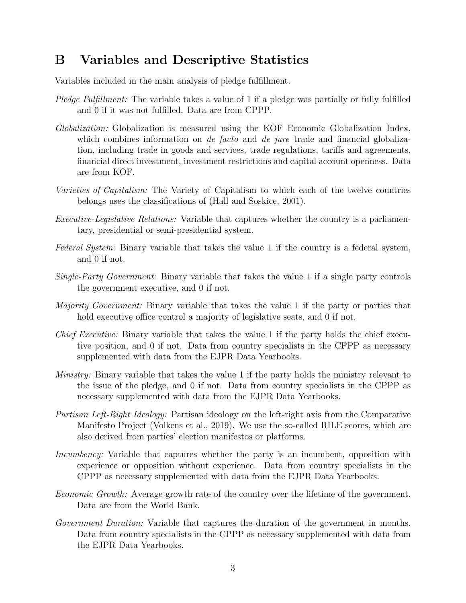### <span id="page-27-0"></span>B Variables and Descriptive Statistics

Variables included in the main analysis of pledge fulfillment.

- Pledge Fulfillment: The variable takes a value of 1 if a pledge was partially or fully fulfilled and 0 if it was not fulfilled. Data are from CPPP.
- Globalization: Globalization is measured using the KOF Economic Globalization Index, which combines information on *de facto* and *de jure* trade and financial globalization, including trade in goods and services, trade regulations, tariffs and agreements, financial direct investment, investment restrictions and capital account openness. Data are from KOF.
- Varieties of Capitalism: The Variety of Capitalism to which each of the twelve countries belongs uses the classifications of [\(Hall and Soskice, 2001\)](#page-21-14).
- Executive-Legislative Relations: Variable that captures whether the country is a parliamentary, presidential or semi-presidential system.
- Federal System: Binary variable that takes the value 1 if the country is a federal system, and 0 if not.
- Single-Party Government: Binary variable that takes the value 1 if a single party controls the government executive, and 0 if not.
- Majority Government: Binary variable that takes the value 1 if the party or parties that hold executive office control a majority of legislative seats, and 0 if not.
- Chief Executive: Binary variable that takes the value 1 if the party holds the chief executive position, and 0 if not. Data from country specialists in the CPPP as necessary supplemented with data from the EJPR Data Yearbooks.
- Ministry: Binary variable that takes the value 1 if the party holds the ministry relevant to the issue of the pledge, and 0 if not. Data from country specialists in the CPPP as necessary supplemented with data from the EJPR Data Yearbooks.
- Partisan Left-Right Ideology: Partisan ideology on the left-right axis from the Comparative Manifesto Project [\(Volkens et al., 2019\)](#page-23-12). We use the so-called RILE scores, which are also derived from parties' election manifestos or platforms.
- Incumbency: Variable that captures whether the party is an incumbent, opposition with experience or opposition without experience. Data from country specialists in the CPPP as necessary supplemented with data from the EJPR Data Yearbooks.
- Economic Growth: Average growth rate of the country over the lifetime of the government. Data are from the World Bank.
- Government Duration: Variable that captures the duration of the government in months. Data from country specialists in the CPPP as necessary supplemented with data from the EJPR Data Yearbooks.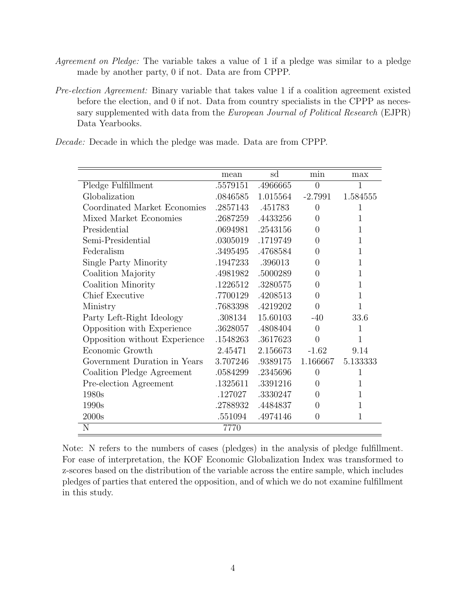- Agreement on Pledge: The variable takes a value of 1 if a pledge was similar to a pledge made by another party, 0 if not. Data are from CPPP.
- Pre-election Agreement: Binary variable that takes value 1 if a coalition agreement existed before the election, and 0 if not. Data from country specialists in the CPPP as necessary supplemented with data from the European Journal of Political Research (EJPR) Data Yearbooks.

Decade: Decade in which the pledge was made. Data are from CPPP.

|                               | mean     | sd       | min              | max      |
|-------------------------------|----------|----------|------------------|----------|
| Pledge Fulfillment            | .5579151 | .4966665 | $\overline{0}$   | 1        |
| Globalization                 | .0846585 | 1.015564 | $-2.7991$        | 1.584555 |
| Coordinated Market Economies  | .2857143 | .451783  | $\theta$         | 1        |
| Mixed Market Economies        | .2687259 | .4433256 | $\Omega$         | 1        |
| Presidential                  | .0694981 | .2543156 | $\Omega$         | 1        |
| Semi-Presidential             | .0305019 | .1719749 | 0                | 1        |
| Federalism                    | .3495495 | .4768584 | 0                | 1        |
| Single Party Minority         | .1947233 | .396013  | $\left( \right)$ | 1        |
| Coalition Majority            | .4981982 | .5000289 | 0                | 1        |
| Coalition Minority            | .1226512 | .3280575 | $\left( \right)$ | 1        |
| <b>Chief Executive</b>        | .7700129 | .4208513 | 0                | 1        |
| Ministry                      | .7683398 | .4219202 | 0                | 1        |
| Party Left-Right Ideology     | .308134  | 15.60103 | $-40$            | 33.6     |
| Opposition with Experience    | .3628057 | .4808404 | $\Omega$         | 1        |
| Opposition without Experience | .1548263 | .3617623 | $\Omega$         | 1        |
| Economic Growth               | 2.45471  | 2.156673 | $-1.62$          | 9.14     |
| Government Duration in Years  | 3.707246 | .9389175 | 1.166667         | 5.133333 |
| Coalition Pledge Agreement    | .0584299 | .2345696 | $\overline{0}$   | 1        |
| Pre-election Agreement        | .1325611 | .3391216 | $\Omega$         | 1        |
| 1980s                         | .127027  | .3330247 | $\left( \right)$ | 1        |
| 1990s                         | .2788932 | .4484837 | 0                | 1        |
| 2000s                         | .551094  | .4974146 | $\overline{0}$   | 1        |
| N                             | 7770     |          |                  |          |

Note: N refers to the numbers of cases (pledges) in the analysis of pledge fulfillment. For ease of interpretation, the KOF Economic Globalization Index was transformed to z-scores based on the distribution of the variable across the entire sample, which includes pledges of parties that entered the opposition, and of which we do not examine fulfillment in this study.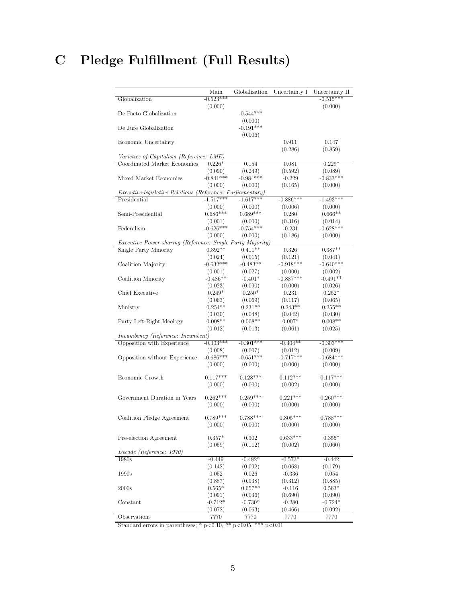# <span id="page-29-0"></span>C Pledge Fulfillment (Full Results)

|                                                                   | Main                   | Globalization         | Uncertainty I          | Uncertainty II         |
|-------------------------------------------------------------------|------------------------|-----------------------|------------------------|------------------------|
| Globalization                                                     | $-0.523***$            |                       |                        | $-0.515***$            |
|                                                                   | (0.000)                |                       |                        | (0.000)                |
| De Facto Globalization                                            |                        | $-0.544***$           |                        |                        |
|                                                                   |                        | (0.000)               |                        |                        |
| De Jure Globalization                                             |                        | $-0.191***$           |                        |                        |
|                                                                   |                        | (0.006)               |                        |                        |
| Economic Uncertainty                                              |                        |                       | 0.911                  | 0.147                  |
|                                                                   |                        |                       | (0.286)                | (0.859)                |
| Varieties of Capitalism (Reference: LME)                          |                        |                       |                        |                        |
| Coordinated Market Economies                                      | $0.226*$               | 0.154                 | 0.081                  | $0.229*$               |
|                                                                   | (0.090)                | (0.249)               | (0.592)                | (0.089)                |
| Mixed Market Economies                                            | $-0.841***$            | $-0.984***$           | $-0.229$               | $-0.833***$            |
|                                                                   | (0.000)                | (0.000)               | (0.165)                | (0.000)                |
| <i>Executive-legislative Relations (Reference: Parliamentary)</i> |                        |                       |                        |                        |
| Presidential                                                      | $-1.517***$            | $-1.617***$           | $-0.886***$            | $-1.493***$            |
|                                                                   | (0.000)                | (0.000)               | (0.006)                | (0.000)                |
| Semi-Presidential                                                 | $0.686***$             | $0.689***$            | 0.280                  | $0.666**$              |
|                                                                   | (0.001)                | (0.000)               | (0.316)                | (0.014)                |
| Federalism                                                        | $-0.626***$            | $-0.754***$           | $-0.231$               | $-0.628***$            |
|                                                                   | (0.000)                | (0.000)               | (0.186)                | (0.000)                |
| Executive Power-sharing (Reference: Single Party Majority)        | $0.392**$              | $0.411**$             |                        | $0.387**$              |
| Single Party Minority                                             |                        |                       | 0.326                  |                        |
|                                                                   | (0.024)<br>$-0.632***$ | (0.015)<br>$-0.483**$ | (0.121)<br>$-0.918***$ | (0.041)<br>$-0.640***$ |
| Coalition Majority                                                |                        |                       |                        |                        |
|                                                                   | (0.001)<br>$-0.486**$  | (0.027)               | (0.000)<br>$-0.887***$ | (0.002)<br>$-0.491**$  |
| Coalition Minority                                                |                        | $-0.401*$             |                        |                        |
| Chief Executive                                                   | (0.023)<br>$0.249*$    | (0.090)<br>$0.250*$   | (0.000)<br>0.231       | (0.026)<br>$0.252*$    |
|                                                                   | (0.063)                | (0.069)               | (0.117)                | (0.065)                |
| Ministry                                                          | $0.254**$              | $0.231**$             | $0.243**$              | $0.255**$              |
|                                                                   | (0.030)                | (0.048)               | (0.042)                | (0.030)                |
| Party Left-Right Ideology                                         | $0.008**$              | $0.008**$             | $0.007*$               | $0.008**$              |
|                                                                   | (0.012)                | (0.013)               | (0.061)                | (0.025)                |
| <i>Incumbency (Reference: Incumbent)</i>                          |                        |                       |                        |                        |
| Opposition with Experience                                        | $-0.303***$            | $-0.301***$           | $-0.304**$             | $-0.303***$            |
|                                                                   | (0.008)                | (0.007)               | (0.012)                | (0.009)                |
| Opposition without Experience                                     | $-0.686***$            | $-0.651***$           | $-0.717***$            | $-0.684***$            |
|                                                                   | (0.000)                | (0.000)               | (0.000)                | (0.000)                |
|                                                                   |                        |                       |                        |                        |
| Economic Growth                                                   | $0.117***$             | $0.128***$            | $0.112***$             | $0.117***$             |
|                                                                   | (0.000)                | (0.000)               | (0.002)                | (0.000)                |
|                                                                   |                        |                       |                        |                        |
| Government Duration in Years                                      | $0.262***$             | $0.259***$            | $0.221***$             | $0.260***$             |
|                                                                   | (0.000)                | (0.000)               | (0.000)                | (0.000)                |
|                                                                   | $0.789***$             | $0.788***$            | $0.805***$             | $0.788***$             |
| Coalition Pledge Agreement                                        |                        |                       |                        |                        |
|                                                                   | (0.000)                | (0.000)               | (0.000)                | (0.000)                |
| Pre-election Agreement                                            | $0.357^{\ast}$         | 0.302                 | $0.633***$             | $0.355*$               |
|                                                                   | (0.059)                | (0.112)               | (0.002)                | (0.060)                |
| Decade (Reference: 1970)                                          |                        |                       |                        |                        |
| 1980s                                                             | $-0.449$               | $-0.482*$             | $-0.573*$              | $-0.442$               |
|                                                                   | (0.142)                | (0.092)               | (0.068)                | (0.179)                |
| 1990s                                                             | 0.052                  | 0.026                 | $-0.336$               | 0.054                  |
|                                                                   | (0.887)                | (0.938)               | (0.312)                | (0.885)                |
| 2000s                                                             | $0.565*$               | $0.657**$             | $-0.116$               | $0.563*$               |
|                                                                   | (0.091)                | (0.036)               | (0.690)                | (0.090)                |
| Constant                                                          | $-0.712*$              | $-0.730*$             | $-0.280$               | $-0.724*$              |
|                                                                   | (0.072)                | (0.063)               | (0.466)                | (0.092)                |
| Observations                                                      | 7770                   | 7770                  | 7770                   | 7770                   |
|                                                                   |                        |                       |                        |                        |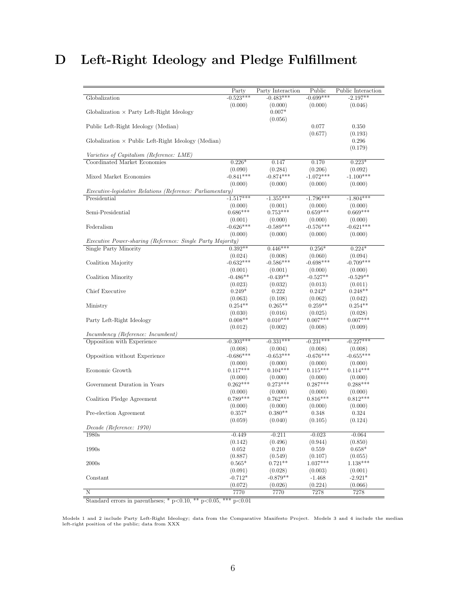## <span id="page-30-0"></span>D Left-Right Ideology and Pledge Fulfillment

|                                                                   | Party                 | Party Interaction      | Public                 | Public Interaction    |
|-------------------------------------------------------------------|-----------------------|------------------------|------------------------|-----------------------|
| Globalization                                                     | $-0.523***$           | $-0.483***$            | $-0.699***$            | $-2.197**$            |
|                                                                   | (0.000)               | (0.000)                | (0.000)                | (0.046)               |
| Globalization $\times$ Party Left-Right Ideology                  |                       | $0.007*$               |                        |                       |
|                                                                   |                       | (0.056)                |                        |                       |
| Public Left-Right Ideology (Median)                               |                       |                        | 0.077                  | 0.350                 |
|                                                                   |                       |                        | (0.677)                | (0.193)               |
| Globalization $\times$ Public Left-Right Ideology (Median)        |                       |                        |                        | 0.296                 |
|                                                                   |                       |                        |                        | (0.179)               |
| Varieties of Capitalism (Reference: LME)                          |                       |                        |                        |                       |
| Coordinated Market Economies                                      | $0.226*$              | 0.147                  | 0.170                  | $0.223*$              |
|                                                                   | (0.090)               | (0.284)                | (0.206)                | (0.092)               |
| Mixed Market Economies                                            | $-0.841***$           | $-0.874***$            | $-1.072***$            | $-1.100***$           |
| <i>Executive-legislative Relations (Reference: Parliamentary)</i> | (0.000)               | (0.000)                | (0.000)                | (0.000)               |
| Presidential                                                      | $-1.517***$           | $-1.355***$            | $-1.796***$            | $-1.804***$           |
|                                                                   | (0.000)               | (0.001)                | (0.000)                | (0.000)               |
| Semi-Presidential                                                 | $0.686***$            | $0.753***$             | $0.659***$             | $0.669***$            |
|                                                                   | (0.001)               | (0.000)                | (0.000)                | (0.000)               |
| Federalism                                                        | $-0.626***$           | $-0.589***$            | $-0.576***$            | $-0.621***$           |
|                                                                   | (0.000)               | (0.000)                | (0.000)                | (0.000)               |
| Executive Power-sharing (Reference: Single Party Majority)        |                       |                        |                        |                       |
| Single Party Minority                                             | $0.392**$             | $0.446***$             | $0.256*$               | $0.224*$              |
|                                                                   | (0.024)               | (0.008)                | (0.060)                | (0.094)               |
| Coalition Majority                                                | $-0.632***$           | $-0.586***$            | $-0.698***$            | $-0.709***$           |
|                                                                   | (0.001)               | (0.001)                | (0.000)                | (0.000)               |
| Coalition Minority                                                | $-0.486**$            | $-0.439**$             | $-0.527**$             | $-0.529**$            |
|                                                                   | (0.023)               | (0.032)                | (0.013)                | (0.011)               |
| Chief Executive                                                   | $0.249*$              | 0.222                  | $0.242*$               | $0.248**$             |
|                                                                   | (0.063)               | (0.108)                | (0.062)                | (0.042)               |
| Ministry                                                          | $0.254**$             | $0.265**$              | $0.259**$              | $0.254**$             |
|                                                                   | (0.030)               | (0.016)                | (0.025)                | (0.028)               |
| Party Left-Right Ideology                                         | $0.008**$             | $0.010***$             | $0.007***$             | $0.007***$            |
|                                                                   | (0.012)               | (0.002)                | (0.008)                | (0.009)               |
| <i>Incumbency (Reference: Incumbent)</i>                          |                       |                        |                        |                       |
| Opposition with Experience                                        | $-0.303***$           | $-0.331***$            | $-0.231***$            | $-0.227***$           |
|                                                                   | (0.008)               | (0.004)<br>$-0.653***$ | (0.008)<br>$-0.676***$ | (0.008)               |
| Opposition without Experience                                     | $-0.686***$           |                        |                        | $-0.655***$           |
| Economic Growth                                                   | (0.000)<br>$0.117***$ | (0.000)<br>$0.104***$  | (0.000)<br>$0.115***$  | (0.000)<br>$0.114***$ |
|                                                                   | (0.000)               | (0.000)                | (0.000)                | (0.000)               |
| Government Duration in Years                                      | $0.262***$            | $0.273***$             | $0.287***$             | $0.288***$            |
|                                                                   | (0.000)               | (0.000)                | (0.000)                | (0.000)               |
| Coalition Pledge Agreement                                        | $0.789***$            | $0.762***$             | $0.816***$             | $0.812***$            |
|                                                                   | (0.000)               | (0.000)                | (0.000)                | (0.000)               |
| Pre-election Agreement                                            | $0.357*$              | $0.380**$              | 0.348                  | 0.324                 |
|                                                                   | (0.059)               | (0.040)                | (0.105)                | (0.124)               |
| Decade (Reference: 1970)                                          |                       |                        |                        |                       |
| 1980s                                                             | $-0.449$              | $-0.211$               | $-0.023$               | $-0.064$              |
|                                                                   | (0.142)               | (0.496)                | (0.944)                | (0.850)               |
| 1990s                                                             | 0.052                 | 0.210                  | 0.559                  | $0.658*$              |
|                                                                   | (0.887)               | (0.549)                | (0.107)                | (0.055)               |
| 2000s                                                             | $0.565*$              | $0.721**$              | $1.037***$             | $1.138***$            |
|                                                                   | (0.091)               | (0.028)                | (0.003)                | (0.001)               |
| Constant                                                          | $-0.712*$             | $-0.879**$             | $-1.468$               | $-2.921*$             |
|                                                                   | (0.072)               | (0.026)                | (0.224)                | (0.066)               |
| $\overline{\rm N}$                                                | 7770                  | 7770                   | 7278                   | 7278                  |

Standard errors in parentheses; \* p<0.10, \*\* p<0.05, \*\*\* p<0.01

Models 1 and 2 include Party Left-Right Ideology; data from the Comparative Manifesto Project. Models 3 and 4 include the median left-right position of the public; data from XXX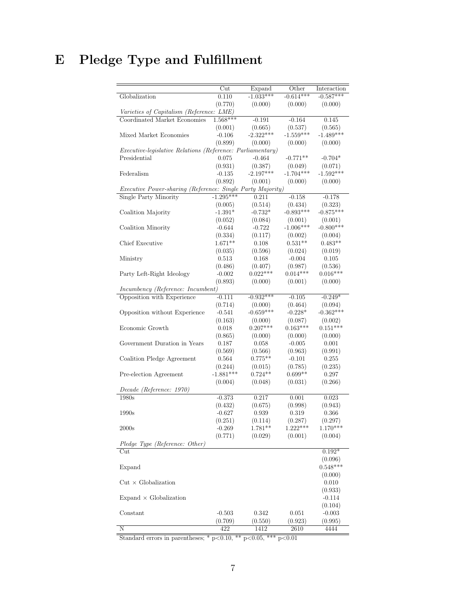# <span id="page-31-0"></span>E Pledge Type and Fulfillment

|                                                            | $_{\text{Cut}}$ | Expand      | Other       | Interaction |
|------------------------------------------------------------|-----------------|-------------|-------------|-------------|
| Globalization                                              | 0.110           | $-1.033***$ | $-0.614***$ | $-0.587***$ |
|                                                            | (0.770)         | (0.000)     | (0.000)     | (0.000)     |
| Varieties of Capitalism (Reference: LME)                   |                 |             |             |             |
| Coordinated Market Economies                               | $1.568***$      | $-0.191$    | $-0.164$    | 0.145       |
|                                                            | (0.001)         | (0.665)     | (0.537)     | (0.565)     |
| Mixed Market Economies                                     | $-0.106$        | $-2.322***$ | $-1.559***$ | $-1.489***$ |
|                                                            | (0.899)         | (0.000)     | (0.000)     | (0.000)     |
| Executive-legislative Relations (Reference: Parliamentary) |                 |             |             |             |
| Presidential                                               | 0.075           | $-0.464$    | $-0.771**$  | $-0.704*$   |
|                                                            | (0.931)         | (0.387)     | (0.049)     | (0.071)     |
| Federalism                                                 | $-0.135$        | $-2.197***$ | $-1.704***$ | $-1.592***$ |
|                                                            | (0.892)         | (0.001)     | (0.000)     | (0.000)     |
| Executive Power-sharing (Reference: Single Party Majority) |                 |             |             |             |
| Single Party Minority                                      | $-1.295***$     | 0.211       | $-0.158$    | $-0.178$    |
|                                                            | (0.005)         | (0.514)     | (0.434)     | (0.323)     |
| Coalition Majority                                         | $-1.391*$       | $-0.732*$   | $-0.893***$ | $-0.875***$ |
|                                                            | (0.052)         | (0.084)     | (0.001)     | (0.001)     |
| Coalition Minority                                         | $-0.644$        | $-0.722$    | $-1.006***$ | $-0.800***$ |
|                                                            | (0.334)         | (0.117)     | (0.002)     | (0.004)     |
| Chief Executive                                            | $1.671**$       | 0.108       | $0.531**$   | $0.483**$   |
|                                                            | (0.035)         | (0.596)     | (0.024)     | (0.019)     |
| Ministry                                                   | 0.513           | 0.168       | $-0.004$    | 0.105       |
|                                                            | (0.486)         | (0.407)     | (0.987)     | (0.536)     |
| Party Left-Right Ideology                                  | $-0.002$        | $0.022***$  | $0.014***$  | $0.016***$  |
|                                                            | (0.893)         | (0.000)     | (0.001)     | (0.000)     |
| <i>Incumbency (Reference: Incumbent)</i>                   |                 |             |             |             |
| Opposition with Experience                                 | $-0.111$        | $-0.932***$ | $-0.105$    | $-0.249*$   |
|                                                            | (0.714)         | (0.000)     | (0.464)     | (0.094)     |
| Opposition without Experience                              | $-0.541$        | $-0.659***$ | $-0.228*$   | $-0.362***$ |
|                                                            | (0.163)         | (0.000)     | (0.087)     | (0.002)     |
| Economic Growth                                            | 0.018           | $0.207***$  | $0.163***$  | $0.151***$  |
|                                                            | (0.865)         | (0.000)     | (0.000)     | (0.000)     |
| Government Duration in Years                               | 0.187           | 0.058       | $-0.005$    | 0.001       |
|                                                            | (0.569)         | (0.566)     | (0.963)     | (0.991)     |
| Coalition Pledge Agreement                                 | 0.564           | $0.775**$   | $-0.101$    | 0.255       |
|                                                            | (0.244)         | (0.015)     | (0.785)     | (0.235)     |
| Pre-election Agreement                                     | $-1.881***$     | $0.724**$   | $0.699**$   | 0.297       |
|                                                            | (0.004)         | (0.048)     | (0.031)     | (0.266)     |
| Decade (Reference: 1970)                                   |                 |             |             |             |
| 1980s                                                      | $-0.373$        | 0.217       | 0.001       | 0.023       |
|                                                            | (0.432)         | (0.675)     | (0.998)     | (0.943)     |
| 1990s                                                      | $-0.627$        | 0.939       | 0.319       | 0.366       |
|                                                            | (0.251)         | (0.114)     | (0.287)     | (0.297)     |
| 2000s                                                      | $-0.269$        | 1.781**     | $1.222***$  | $1.170***$  |
|                                                            | (0.771)         | (0.029)     | (0.001)     | (0.004)     |
| Pledge Type (Reference: Other)                             |                 |             |             |             |
| $_{\text{Cut}}$                                            |                 |             |             | $0.192*$    |
|                                                            |                 |             |             | (0.096)     |
| Expand                                                     |                 |             |             | $0.548***$  |
|                                                            |                 |             |             | (0.000)     |
| $Cut \times Globalization$                                 |                 |             |             | 0.010       |
|                                                            |                 |             |             | (0.933)     |
| $Expand \times Globalization$                              |                 |             |             | $-0.114$    |
|                                                            |                 |             |             | (0.104)     |
| Constant                                                   | $-0.503$        | 0.342       | 0.051       | $-0.003$    |
|                                                            | (0.709)         | (0.550)     | (0.923)     | (0.995)     |
| Ν                                                          | 422             | 1412        | 2610        | 4444        |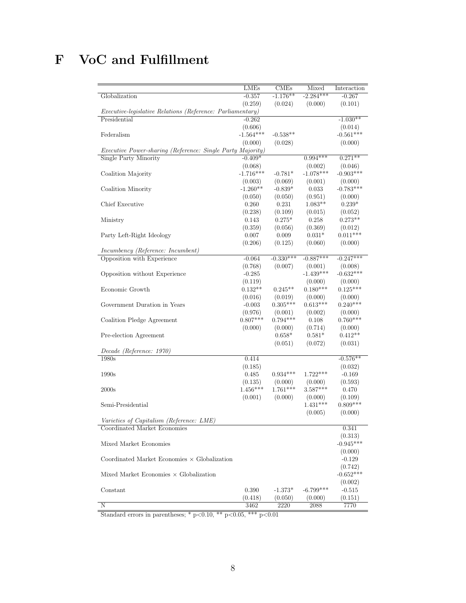### <span id="page-32-0"></span>F VoC and Fulfillment

|                                                                   | LMEs        | <b>CMEs</b>    | Mixed       | Interaction |
|-------------------------------------------------------------------|-------------|----------------|-------------|-------------|
| Globalization                                                     | $-0.357$    | $-1.176**$     | $-2.284***$ | $-0.267$    |
|                                                                   | (0.259)     | (0.024)        | (0.000)     | (0.101)     |
| <i>Executive-legislative Relations (Reference: Parliamentary)</i> |             |                |             |             |
| Presidential                                                      | $-0.262$    |                |             | $-1.030**$  |
|                                                                   | (0.606)     |                |             | (0.014)     |
| Federalism                                                        | $-1.564***$ | $-0.538**$     |             | $-0.561***$ |
|                                                                   | (0.000)     | (0.028)        |             | (0.000)     |
| Executive Power-sharing (Reference: Single Party Majority)        |             |                |             |             |
| Single Party Minority                                             | $-0.409*$   |                | $0.994***$  | $0.271**$   |
|                                                                   | (0.068)     |                | (0.002)     | (0.046)     |
| Coalition Majority                                                | $-1.716***$ | $-0.781*$      | $-1.078***$ | $-0.903***$ |
|                                                                   | (0.003)     | (0.069)        | (0.001)     | (0.000)     |
| Coalition Minority                                                | $-1.260**$  | $-0.839*$      | 0.033       | $-0.783***$ |
|                                                                   | (0.050)     | (0.050)        | (0.951)     | (0.000)     |
| Chief Executive                                                   | 0.260       | $0.231\,$      | $1.083**$   | $0.239*$    |
|                                                                   | (0.238)     | (0.109)        | (0.015)     | (0.052)     |
| Ministry                                                          | 0.143       | $0.275*$       | 0.258       | $0.273**$   |
|                                                                   | (0.359)     | (0.056)        | (0.369)     | (0.012)     |
| Party Left-Right Ideology                                         | 0.007       | 0.009          | $0.031*$    | $0.011***$  |
|                                                                   | (0.206)     | (0.125)        | (0.060)     | (0.000)     |
| Incumbency (Reference: Incumbent)                                 |             |                |             |             |
| Opposition with Experience                                        | $-0.064$    | $-0.330***$    | $-0.887***$ | $-0.247***$ |
|                                                                   | (0.768)     | (0.007)        | (0.001)     | (0.008)     |
| Opposition without Experience                                     | $-0.285$    |                | $-1.439***$ | $-0.632***$ |
|                                                                   | (0.119)     |                | (0.000)     | (0.000)     |
| Economic Growth                                                   | $0.132**$   | $0.245**$      | $0.180***$  | $0.125***$  |
|                                                                   | (0.016)     | (0.019)        | (0.000)     | (0.000)     |
| Government Duration in Years                                      | $-0.003$    | $0.305***$     | $0.613***$  | $0.240***$  |
|                                                                   | (0.976)     | (0.001)        | (0.002)     | (0.000)     |
| Coalition Pledge Agreement                                        | $0.807***$  | $0.794***$     | 0.108       | $0.760***$  |
|                                                                   | (0.000)     | (0.000)        | (0.714)     | (0.000)     |
| Pre-election Agreement                                            |             | $0.658^{\ast}$ | $0.581*$    | $0.412**$   |
|                                                                   |             | (0.051)        | (0.072)     | (0.031)     |
| Decade (Reference: 1970)                                          |             |                |             |             |
| 1980s                                                             | 0.414       |                |             | $-0.576**$  |
|                                                                   | (0.185)     |                |             | (0.032)     |
| 1990s                                                             | 0.485       | $0.934***$     | $1.722***$  | $-0.169$    |
|                                                                   | (0.135)     | (0.000)        | (0.000)     | (0.593)     |
| 2000s                                                             | $1.456***$  | $1.761***$     | $3.587***$  | 0.470       |
|                                                                   | (0.001)     | (0.000)        | (0.000)     | (0.109)     |
| Semi-Presidential                                                 |             |                | $1.431***$  | $0.809***$  |
|                                                                   |             |                | (0.005)     | (0.000)     |
| Varieties of Capitalism (Reference: LME)                          |             |                |             |             |
| Coordinated Market Economies                                      |             |                |             | 0.341       |
|                                                                   |             |                |             | (0.313)     |
| Mixed Market Economies                                            |             |                |             | $-0.945***$ |
|                                                                   |             |                |             | (0.000)     |
| Coordinated Market Economies $\times$ Globalization               |             |                |             | $-0.129$    |
|                                                                   |             |                |             | (0.742)     |
| Mixed Market Economies $\times$ Globalization                     |             |                |             | $-0.652***$ |
|                                                                   |             |                |             | (0.002)     |
| Constant                                                          | 0.390       | $-1.373*$      | $-6.799***$ | $-0.515$    |
|                                                                   | (0.418)     | (0.050)        | (0.000)     | (0.151)     |
| Ν                                                                 | 3462        | 2220           | 2088        | 7770        |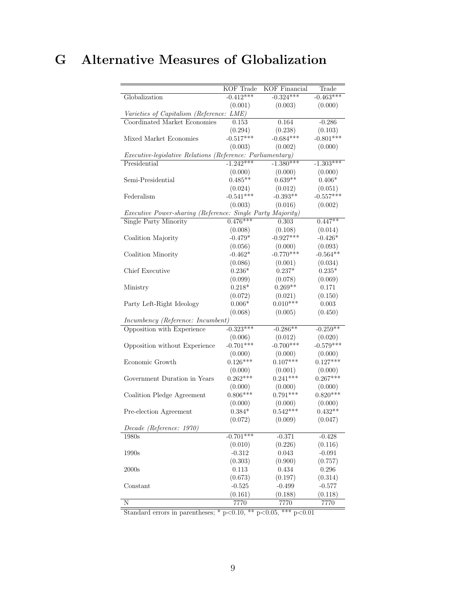### <span id="page-33-0"></span>G Alternative Measures of Globalization

|                                                                   | <b>KOF</b> Trade    | <b>KOF</b> Financial | Trade               |
|-------------------------------------------------------------------|---------------------|----------------------|---------------------|
|                                                                   |                     |                      |                     |
| Globalization                                                     | $-0.412***$         | $-0.324***$          | $-0.463***$         |
|                                                                   | (0.001)             | (0.003)              | (0.000)             |
| Varieties of Capitalism (Reference: LME)                          |                     |                      |                     |
| Coordinated Market Economies                                      | 0.153               | 0.164                | $-0.286$            |
|                                                                   | (0.294)             | (0.238)              | (0.103)             |
| Mixed Market Economies                                            | $-0.517***$         | $-0.684***$          | $-0.801***$         |
|                                                                   | (0.003)             | (0.002)              | (0.000)             |
| <i>Executive-legislative Relations (Reference: Parliamentary)</i> |                     |                      |                     |
| Presidential                                                      | $-1.242***$         | $-1.380***$          | $-1.303***$         |
|                                                                   | (0.000)             | (0.000)              | (0.000)             |
| Semi-Presidential                                                 | $0.485**$           | $0.639**$            | $0.406*$            |
|                                                                   | (0.024)             | (0.012)              | (0.051)             |
| Federalism                                                        | $-0.541***$         | $-0.393**$           | $-0.557***$         |
|                                                                   | (0.003)             | (0.016)              | (0.002)             |
| Executive Power-sharing (Reference: Single Party Majority)        |                     |                      |                     |
| Single Party Minority                                             | $0.476***$          | 0.303                | $0.447**$           |
|                                                                   | (0.008)             | (0.108)              | (0.014)             |
| Coalition Majority                                                | $-0.479*$           | $-0.927***$          | $-0.426*$           |
|                                                                   | (0.056)             | (0.000)              | (0.093)             |
| Coalition Minority                                                | $-0.462*$           | $-0.770***$          | $-0.564**$          |
|                                                                   |                     |                      |                     |
| Chief Executive                                                   | (0.086)<br>$0.236*$ | (0.001)<br>$0.237*$  | (0.034)<br>$0.235*$ |
|                                                                   |                     |                      |                     |
|                                                                   | (0.099)             | (0.078)              | (0.069)             |
| Ministry                                                          | $0.218*$            | $0.269**$            | 0.171               |
|                                                                   | (0.072)             | (0.021)              | (0.150)             |
| Party Left-Right Ideology                                         | $0.006*$            | $0.010***$           | 0.003               |
|                                                                   | (0.068)             | (0.005)              | (0.450)             |
| Incumbency (Reference: Incumbent)                                 |                     |                      |                     |
| Opposition with Experience                                        | $-0.323***$         | $-0.286**$           | $-0.259**$          |
|                                                                   | (0.006)             | (0.012)              | (0.020)             |
| Opposition without Experience                                     | $-0.701***$         | $-0.700***$          | $-0.579***$         |
|                                                                   | (0.000)             | (0.000)              | (0.000)             |
| Economic Growth                                                   | $0.126***$          | $0.107***$           | $0.127***$          |
|                                                                   | (0.000)             | (0.001)              | (0.000)             |
| Government Duration in Years                                      | $0.262***$          | $0.241***$           | $0.267***$          |
|                                                                   | (0.000)             | (0.000)              | (0.000)             |
| Coalition Pledge Agreement                                        | $0.806***$          | $0.791***$           | $0.820***$          |
|                                                                   | (0.000)             | (0.000)              | (0.000)             |
| Pre-election Agreement                                            | $0.384*$            | $0.542***$           | $0.432**$           |
|                                                                   | (0.072)             | (0.009)              | (0.047)             |
| Decade (Reference: 1970)                                          |                     |                      |                     |
| 1980s                                                             | $-0.701***$         | $-0.371$             | $-0.428$            |
|                                                                   | (0.010)             | (0.226)              | (0.116)             |
| 1990s                                                             | $-0.312$            | 0.043                | $-0.091$            |
|                                                                   | (0.303)             | (0.900)              | (0.757)             |
| 2000s                                                             | 0.113               | 0.434                | 0.296               |
|                                                                   | (0.673)             | (0.197)              | (0.314)             |
| Constant                                                          | $-0.525$            | $-0.499$             | $-0.577$            |
|                                                                   | (0.161)             | (0.188)              | (0.118)             |
| N                                                                 | 7770                | 7770                 | 7770                |
|                                                                   |                     |                      |                     |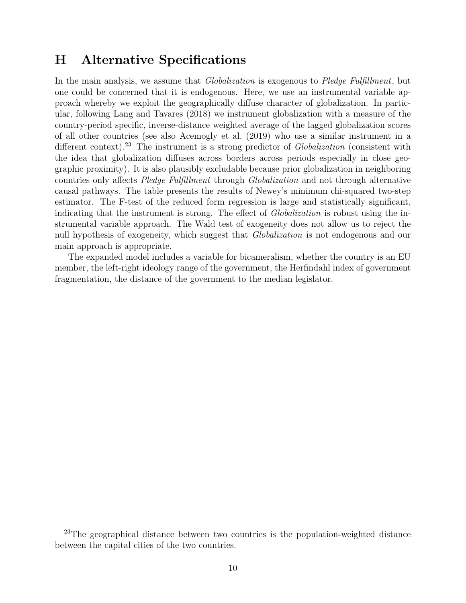### <span id="page-34-0"></span>H Alternative Specifications

In the main analysis, we assume that *Globalization* is exogenous to *Pledge Fulfillment*, but one could be concerned that it is endogenous. Here, we use an instrumental variable approach whereby we exploit the geographically diffuse character of globalization. In particular, following [Lang and Tavares](#page-22-14) [\(2018\)](#page-22-14) we instrument globalization with a measure of the country-period specific, inverse-distance weighted average of the lagged globalization scores of all other countries (see also [Acemogly et al.](#page-20-14) [\(2019\)](#page-20-14) who use a similar instrument in a different context).<sup>[23](#page-0-0)</sup> The instrument is a strong predictor of *Globalization* (consistent with the idea that globalization diffuses across borders across periods especially in close geographic proximity). It is also plausibly excludable because prior globalization in neighboring countries only affects Pledge Fulfillment through Globalization and not through alternative causal pathways. The table presents the results of Newey's minimum chi-squared two-step estimator. The F-test of the reduced form regression is large and statistically significant, indicating that the instrument is strong. The effect of *Globalization* is robust using the instrumental variable approach. The Wald test of exogeneity does not allow us to reject the null hypothesis of exogeneity, which suggest that Globalization is not endogenous and our main approach is appropriate.

The expanded model includes a variable for bicameralism, whether the country is an EU member, the left-right ideology range of the government, the Herfindahl index of government fragmentation, the distance of the government to the median legislator.

<sup>&</sup>lt;sup>23</sup>The geographical distance between two countries is the population-weighted distance between the capital cities of the two countries.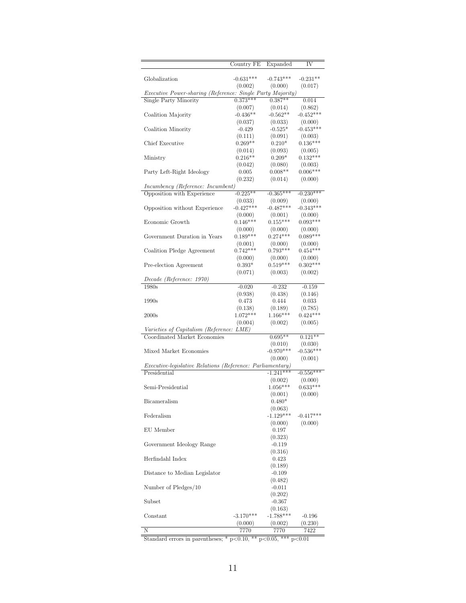|                                                                   | Country FE            | Expanded              | IV                    |
|-------------------------------------------------------------------|-----------------------|-----------------------|-----------------------|
| Globalization                                                     | $-0.631***$           | $-0.743***$           | $-0.231**$            |
|                                                                   | (0.002)               | (0.000)               | (0.017)               |
| Executive Power-sharing (Reference: Single Party Majority)        |                       |                       |                       |
| Single Party Minority                                             | $0.373***$            | $0.387**$             | 0.014                 |
|                                                                   | (0.007)               | (0.014)               | (0.862)               |
| Coalition Majority                                                | $-0.436**$            | $-0.562**$            | $-0.452***$           |
|                                                                   | (0.037)               | (0.033)               | (0.000)               |
| Coalition Minority                                                | $-0.429$              | $-0.525*$             | $-0.453***$           |
| Chief Executive                                                   | (0.111)<br>$0.269**$  | (0.091)<br>$0.210*$   | (0.003)<br>$0.136***$ |
|                                                                   | (0.014)               | (0.093)               | (0.005)               |
| Ministry                                                          | $0.216**$             | $0.209*$              | $0.132***$            |
|                                                                   | (0.042)               | (0.080)               | (0.003)               |
| Party Left-Right Ideology                                         | 0.005                 | $0.008**$             | $0.006***$            |
|                                                                   | (0.232)               | (0.014)               | (0.000)               |
| Incumbency (Reference: Incumbent)                                 |                       |                       |                       |
| Opposition with Experience                                        | $-0.225**$            | $-0.365***$           | $-0.230***$           |
|                                                                   | (0.033)               | (0.009)               | (0.000)               |
| Opposition without Experience                                     | $-0.427***$           | $-0.487***$           | $-0.343***$           |
|                                                                   | (0.000)               | (0.001)               | (0.000)               |
| Economic Growth                                                   | $0.146***$            | $0.155***$            | $0.093***$            |
| Government Duration in Years                                      | (0.000)<br>$0.189***$ | (0.000)<br>$0.274***$ | (0.000)<br>$0.089***$ |
|                                                                   | (0.001)               | (0.000)               | (0.000)               |
| Coalition Pledge Agreement                                        | $0.742***$            | $0.793***$            | $0.454***$            |
|                                                                   | (0.000)               | (0.000)               | (0.000)               |
| Pre-election Agreement                                            | $0.393*$              | $0.519***$            | $0.302***$            |
|                                                                   | (0.071)               | (0.003)               | (0.002)               |
| Decade (Reference: 1970)                                          |                       |                       |                       |
| 1980s                                                             | $-0.020$              | $-0.232$              | $-0.159$              |
|                                                                   | (0.938)               | (0.438)               | (0.146)               |
| 1990s                                                             | 0.473                 | 0.444                 | 0.033                 |
|                                                                   | (0.138)<br>$1.072***$ | (0.189)               | (0.785)               |
| 2000s                                                             | (0.004)               | $1.166***$<br>(0.002) | $0.424***$<br>(0.005) |
| Varieties of Capitalism (Reference: LME)                          |                       |                       |                       |
| Coordinated Market Economies                                      |                       | $0.695**$             | $0.121**$             |
|                                                                   |                       | (0.010)               | (0.030)               |
| Mixed Market Economies                                            |                       | $-0.970***$           | $-0.536***$           |
|                                                                   |                       | (0.000)               | (0.001)               |
| <i>Executive-legislative Relations (Reference: Parliamentary)</i> |                       |                       |                       |
| Presidential                                                      |                       | $-1.241***$           | $-0.556***$           |
|                                                                   |                       | (0.002)               | (0.000)               |
| Semi-Presidential                                                 |                       | $1.056***$            | $0.633***$            |
|                                                                   |                       | (0.001)               | (0.000)               |
| Bicameralism                                                      |                       | $0.480*$<br>(0.063)   |                       |
| Federalism                                                        |                       | $-1.129***$           | $-0.417***$           |
|                                                                   |                       | (0.000)               | (0.000)               |
| EU Member                                                         |                       | 0.197                 |                       |
|                                                                   |                       | (0.323)               |                       |
| Government Ideology Range                                         |                       | $-0.119$              |                       |
|                                                                   |                       | (0.316)               |                       |
| Herfindahl Index                                                  |                       | 0.423                 |                       |
|                                                                   |                       | (0.189)               |                       |
| Distance to Median Legislator                                     |                       | $-0.109$              |                       |
|                                                                   |                       | (0.482)               |                       |
| Number of Pledges/10                                              |                       | $-0.011$<br>(0.202)   |                       |
| Subset                                                            |                       | $-0.367$              |                       |
|                                                                   |                       | (0.163)               |                       |
| Constant                                                          | $-3.170***$           | $-1.788***$           | $-0.196$              |
|                                                                   | (0.000)               | (0.002)               | (0.230)               |
| Ν                                                                 | 7770                  | 7770                  | 7422                  |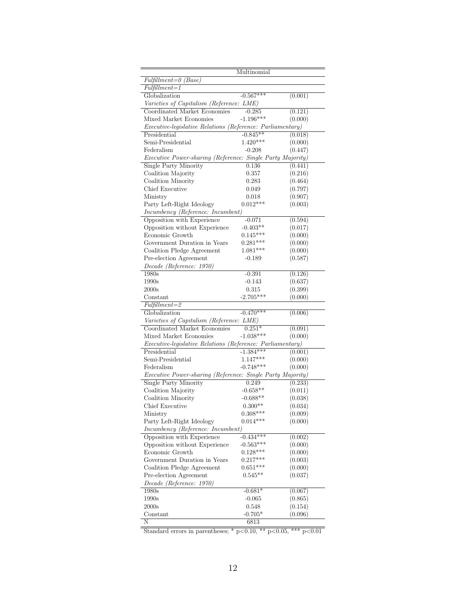|                                                                   | Multinomial |         |
|-------------------------------------------------------------------|-------------|---------|
| $Fulfillment = 0$ (Base)                                          |             |         |
| $Fulfillment = 1$                                                 |             |         |
| Globalization                                                     | $-0.567***$ | (0.001) |
| Varieties of Capitalism (Reference: LME)                          |             |         |
| Coordinated Market Economies                                      | $-0.285$    | (0.121) |
| Mixed Market Economies                                            | $-1.196***$ | (0.000) |
| Executive-legislative Relations (Reference: Parliamentary)        |             |         |
| Presidential                                                      | $-0.845**$  | (0.018) |
| Semi-Presidential                                                 | $1.420***$  | (0.000) |
| Federalism                                                        | $-0.208$    | (0.447) |
| Executive Power-sharing (Reference: Single Party Majority)        |             |         |
| Single Party Minority                                             | 0.136       | (0.441) |
| Coalition Majority                                                | 0.357       | (0.216) |
| Coalition Minority                                                | 0.283       | (0.464) |
| Chief Executive                                                   | 0.049       | (0.797) |
| Ministry                                                          | 0.018       | (0.907) |
| Party Left-Right Ideology                                         | $0.012***$  | (0.003) |
| Incumbency (Reference: Incumbent)                                 |             |         |
| Opposition with Experience                                        | -0.071      | (0.594) |
| Opposition without Experience                                     | $-0.403**$  | (0.017) |
| Economic Growth                                                   | $0.145***$  | (0.000) |
| Government Duration in Years                                      | $0.281***$  | (0.000) |
| Coalition Pledge Agreement                                        | $1.081***$  | (0.000) |
| Pre-election Agreement                                            | $-0.189$    | (0.587) |
| Decade (Reference: 1970)                                          |             |         |
| 1980s                                                             | $-0.391$    | (0.126) |
| 1990s                                                             | $-0.143$    | (0.637) |
| 2000s                                                             | 0.315       | (0.399) |
| Constant                                                          | $-2.705***$ | (0.000) |
| $Fulfillment = 2$                                                 |             |         |
| Globalization                                                     | $-0.470***$ | (0.006) |
| Varieties of Capitalism (Reference: LME)                          |             |         |
| Coordinated Market Economies                                      | $0.251*$    | (0.091) |
| Mixed Market Economies                                            | $-1.038***$ | (0.000) |
| <i>Executive-legislative Relations (Reference: Parliamentary)</i> |             |         |
| Presidential                                                      | $-1.384***$ | (0.001) |
| Semi-Presidential                                                 | $1.147***$  | (0.000) |
| Federalism                                                        | $-0.748***$ | (0.000) |
| Executive Power-sharing (Reference: Single Party Majority)        |             |         |
| Single Party Minority                                             | 0.249       | (0.233) |
| Coalition Majority                                                | $-0.658**$  | (0.011) |
| Coalition Minority                                                | $-0.688**$  | (0.038) |
| Chief Executive                                                   | $0.300**$   | (0.034) |
| Ministry                                                          | $0.308***$  | (0.009) |
| Party Left-Right Ideology                                         | $0.014***$  | (0.000) |
| Incumbency (Reference: Incumbent)                                 |             |         |
| Opposition with Experience                                        | $-0.434***$ | (0.002) |
| Opposition without Experience                                     | $-0.563***$ | (0.000) |
| Economic Growth                                                   | $0.128***$  | (0.000) |
| Government Duration in Years                                      | $0.217***$  | (0.003) |
| Coalition Pledge Agreement                                        | $0.651***$  | (0.000) |
| Pre-election Agreement                                            | $0.545**$   | (0.037) |
| Decade (Reference: 1970)                                          |             |         |
| 1980s                                                             | $-0.681*$   | (0.067) |
| 1990s                                                             | $-0.065$    | (0.865) |
| 2000s                                                             | 0.548       | (0.154) |
| Constant                                                          | $-0.705*$   | (0.096) |
| N                                                                 | 6813        |         |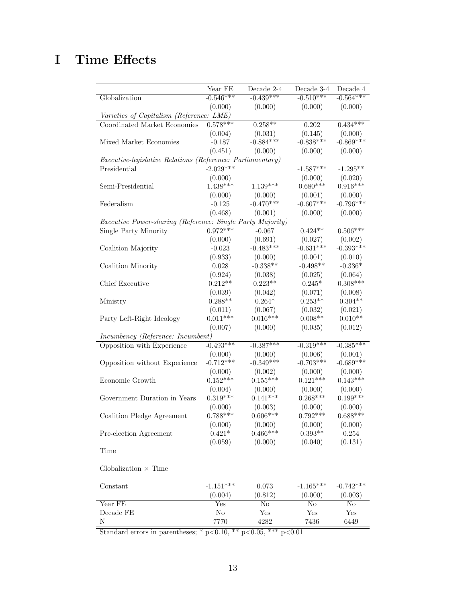## <span id="page-37-0"></span>I Time Effects

|                                                            | Year FE     | Decade 2-4  | Decade 3-4  | Decade 4    |
|------------------------------------------------------------|-------------|-------------|-------------|-------------|
| Globalization                                              | $-0.546***$ | $-0.439***$ | $-0.510***$ | $-0.564***$ |
|                                                            | (0.000)     | (0.000)     | (0.000)     | (0.000)     |
| Varieties of Capitalism (Reference: LME)                   |             |             |             |             |
| Coordinated Market Economies                               | $0.578***$  | $0.258***$  | 0.202       | $0.434***$  |
|                                                            | (0.004)     | (0.031)     | (0.145)     | (0.000)     |
| Mixed Market Economies                                     | $-0.187$    | $-0.884***$ | $-0.838***$ | $-0.869***$ |
|                                                            | (0.451)     | (0.000)     | (0.000)     | (0.000)     |
| Executive-legislative Relations (Reference: Parliamentary) |             |             |             |             |
| Presidential                                               | $-2.029***$ |             | $-1.587***$ | $-1.295***$ |
|                                                            | (0.000)     |             | (0.000)     | (0.020)     |
| Semi-Presidential                                          | $1.438***$  | $1.139***$  | $0.680***$  | $0.916***$  |
|                                                            | (0.000)     | (0.000)     | (0.001)     | (0.000)     |
| Federalism                                                 | $-0.125$    | $-0.470***$ | $-0.607***$ | $-0.796***$ |
|                                                            | (0.468)     | (0.001)     | (0.000)     | (0.000)     |
| Executive Power-sharing (Reference: Single Party Majority) |             |             |             |             |
| <b>Single Party Minority</b>                               | $0.972***$  | $-0.067$    | $0.424**$   | $0.506***$  |
|                                                            | (0.000)     | (0.691)     | (0.027)     | (0.002)     |
| Coalition Majority                                         | $-0.023$    | $-0.483***$ | $-0.631***$ | $-0.393***$ |
|                                                            | (0.933)     | (0.000)     | (0.001)     | (0.010)     |
| Coalition Minority                                         | 0.028       | $-0.338**$  | $-0.498**$  | $-0.336*$   |
|                                                            | (0.924)     | (0.038)     | (0.025)     | (0.064)     |
| Chief Executive                                            | $0.212**$   | $0.223**$   | $0.245*$    | $0.308***$  |
|                                                            | (0.039)     | (0.042)     | (0.071)     | (0.008)     |
| Ministry                                                   | $0.288**$   | $0.264*$    | $0.253**$   | $0.304**$   |
|                                                            | (0.011)     | (0.067)     | (0.032)     | (0.021)     |
| Party Left-Right Ideology                                  | $0.011***$  | $0.016***$  | $0.008**$   | $0.010**$   |
|                                                            | (0.007)     | (0.000)     | (0.035)     | (0.012)     |
| Incumbency (Reference: Incumbent)                          |             |             |             |             |
| Opposition with Experience                                 | $-0.493***$ | $-0.387***$ | $-0.319***$ | $-0.385***$ |
|                                                            | (0.000)     | (0.000)     | (0.006)     | (0.001)     |
| Opposition without Experience                              | $-0.712***$ | $-0.349***$ | $-0.703***$ | $-0.689***$ |
|                                                            | (0.000)     | (0.002)     | (0.000)     | (0.000)     |
| Economic Growth                                            | $0.152***$  | $0.155***$  | $0.121***$  | $0.143***$  |
|                                                            | (0.004)     | (0.000)     | (0.000)     | (0.000)     |
| Government Duration in Years                               | $0.319***$  | $0.141***$  | $0.268***$  | $0.199***$  |
|                                                            | (0.000)     | (0.003)     | (0.000)     | (0.000)     |
| Coalition Pledge Agreement                                 | $0.788***$  | $0.606***$  | $0.792***$  | $0.688***$  |
|                                                            | (0.000)     | (0.000)     | (0.000)     | (0.000)     |
| Pre-election Agreement                                     | $0.421*$    | $0.466***$  | $0.393**$   | 0.254       |
|                                                            | (0.059)     | (0.000)     | (0.040)     | (0.131)     |
| Time                                                       |             |             |             |             |
|                                                            |             |             |             |             |
| Globalization $\times$ Time                                |             |             |             |             |
|                                                            |             |             |             |             |
| Constant                                                   | $-1.151***$ | 0.073       | $-1.165***$ | $-0.742***$ |
|                                                            | (0.004)     | (0.812)     | (0.000)     | (0.003)     |
| Year FE                                                    | Yes         | No          | $\rm No$    | $\rm No$    |
| Decade FE                                                  | $\rm No$    | Yes         | Yes         | Yes         |
| N                                                          | 7770        | 4282        | 7436        | 6449        |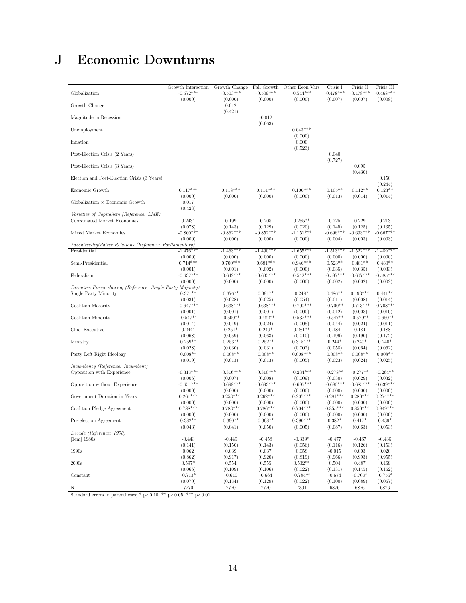## <span id="page-38-0"></span>J Economic Downturns

| Globalization                                                     | Growth Interaction<br>$-0.572***$ | Growth Change<br>$-0.503***$ | Fall Growth<br>$-0.509***$ | Other Econ Vars<br>$-0.544***$ | Crisis I<br>$-0.478***$ | Crisis II<br>$-0.478***$ | Crisis III<br>$-0.468***$ |
|-------------------------------------------------------------------|-----------------------------------|------------------------------|----------------------------|--------------------------------|-------------------------|--------------------------|---------------------------|
| Growth Change                                                     | (0.000)                           | (0.000)<br>0.012             | (0.000)                    | (0.000)                        | (0.007)                 | (0.007)                  | (0.008)                   |
| Magnitude in Recession                                            |                                   | (0.421)                      | $-0.012$<br>(0.663)        |                                |                         |                          |                           |
| Unemployment                                                      |                                   |                              |                            | $0.043***$<br>(0.000)          |                         |                          |                           |
| Inflation                                                         |                                   |                              |                            | 0.000<br>(0.523)               |                         |                          |                           |
| Post-Election Crisis (2 Years)                                    |                                   |                              |                            |                                | 0.040<br>(0.727)        |                          |                           |
| Post-Election Crisis (3 Years)                                    |                                   |                              |                            |                                |                         | 0.095<br>(0.430)         |                           |
| Election and Post-Election Crisis (3 Years)                       |                                   |                              |                            |                                |                         |                          | 0.150<br>(0.244)          |
| Economic Growth                                                   | $0.117***$<br>(0.000)             | $0.118***$<br>(0.000)        | $0.114***$<br>(0.000)      | $0.100***$<br>(0.000)          | $0.105**$<br>(0.013)    | $0.112**$<br>(0.014)     | $0.123**$<br>(0.014)      |
| Globalization $\times$ Economic Growth                            | 0.017<br>(0.423)                  |                              |                            |                                |                         |                          |                           |
| Varieties of Capitalism (Reference: LME)                          |                                   |                              |                            |                                |                         |                          |                           |
| Coordinated Market Economies                                      | $0.243*$                          | 0.199                        | 0.208                      | $0.255***$                     | 0.225                   | 0.229                    | 0.213                     |
|                                                                   | (0.078)                           | (0.143)                      | (0.129)                    | (0.020)                        | (0.145)                 | (0.125)                  | (0.135)                   |
| Mixed Market Economies                                            | $-0.860***$                       | $-0.862***$                  | $-0.852***$                | $-1.151***$                    | $-0.696***$             | $-0.693***$              | $-0.667***$               |
|                                                                   |                                   |                              |                            |                                |                         |                          |                           |
|                                                                   | (0.000)                           | (0.000)                      | (0.000)                    | (0.000)                        | (0.004)                 | (0.003)                  | (0.003)                   |
| <i>Executive-legislative Relations (Reference: Parliamentary)</i> |                                   |                              |                            |                                |                         |                          |                           |
| Presidential                                                      | $-1.476***$                       | $-1.463***$                  | $-1.490***$                | $-1.655***$                    | $-1.513***$             | $-1.522***$              | $-1.489***$               |
|                                                                   | (0.000)                           | (0.000)                      | (0.000)                    | (0.000)                        | (0.000)                 | (0.000)                  | (0.000)                   |
| Semi-Presidential                                                 | $0.714***$                        | $0.700***$                   | $0.681***$                 | $0.946***$                     | $0.523**$               | $0.481**$                | $0.480**$                 |
|                                                                   | (0.001)                           | (0.001)                      | (0.002)                    | (0.000)                        | (0.035)                 | (0.035)                  | (0.033)                   |
| Federalism                                                        | $-0.637***$                       | $-0.642***$                  | $-0.635***$                | $-0.542***$                    | $-0.597***$             | $-0.607***$              | $-0.585***$               |
|                                                                   | (0.000)                           | (0.000)                      | (0.000)                    | (0.000)                        | (0.002)                 | (0.002)                  | (0.002)                   |
| <i>Executive Power-sharing (Reference: Single Party Majority)</i> |                                   |                              |                            |                                |                         |                          |                           |
| Single Party Minority                                             | $0.371**$                         | $0.376**$                    | $0.391**$                  | $0.248*$                       | $0.486**$               | $0.493***$               | $0.441**$                 |
|                                                                   | (0.031)                           | (0.028)                      | (0.025)                    | (0.054)                        | (0.011)                 | (0.008)                  | (0.014)                   |
|                                                                   | $-0.647***$                       |                              |                            | $-0.700***$                    |                         | $-0.713***$              | $-0.708***$               |
| Coalition Majority                                                |                                   | $-0.638***$                  | $-0.638***$                |                                | $-0.700**$              |                          |                           |
|                                                                   | (0.001)                           | (0.001)                      | (0.001)                    | (0.000)                        | (0.012)                 | (0.008)                  | (0.010)                   |
| Coalition Minority                                                | $-0.547**$                        | $-0.500**$                   | $-0.482**$                 | $-0.537***$                    | $-0.547**$              | $-0.579**$               | $-0.650**$                |
|                                                                   | (0.014)                           | (0.019)                      | (0.024)                    | (0.005)                        | (0.044)                 | (0.024)                  | (0.011)                   |
| Chief Executive                                                   | $0.244*$                          | $0.251*$                     | $0.249*$                   | $0.281**$                      | 0.184                   | 0.184                    | 0.188                     |
|                                                                   | (0.068)                           | (0.059)                      | (0.063)                    | (0.010)                        | (0.199)                 | (0.190)                  | (0.172)                   |
| Ministry                                                          | $0.259**$                         | $0.253**$                    | $0.252**$                  | $0.315***$                     | $0.244*$                | $0.240*$                 | $0.240*$                  |
|                                                                   | (0.028)                           | (0.030)                      | (0.031)                    | (0.002)                        | (0.058)                 | (0.064)                  | (0.062)                   |
| Party Left-Right Ideology                                         | $0.008**$                         | $0.008**$                    | $0.008**$                  | $0.008***$                     | $0.008**$               | $0.008**$                | $0.008**$                 |
|                                                                   | (0.019)                           | (0.013)                      | (0.013)                    | (0.005)                        | (0.023)                 | (0.024)                  | (0.025)                   |
| Incumbency (Reference: Incumbent)                                 |                                   |                              |                            |                                |                         |                          |                           |
| Opposition with Experience                                        | $-0.313***$                       | $-0.316***$                  | $-0.310***$                | $-0.234***$                    | $-0.278**$              | $-0.277**$               | $-0.264**$                |
|                                                                   | (0.006)                           | (0.007)                      | (0.008)                    | (0.009)                        | (0.030)                 | (0.029)                  | (0.032)                   |
| Opposition without Experience                                     | $-0.654***$                       | $-0.698***$                  | $-0.693***$                | $-0.695***$                    | $-0.680***$             | $-0.685***$              | $-0.639***$               |
|                                                                   | (0.000)                           | (0.000)                      | (0.000)                    | (0.000)                        | (0.000)                 | (0.000)                  | (0.000)                   |
| Government Duration in Years                                      | $0.261***$                        | $0.253***$                   | $0.262***$                 | $0.207***$                     | $0.281***$              | $0.280***$               | $0.274***$                |
|                                                                   | (0.000)                           | (0.000)                      | (0.000)                    | (0.000)                        | (0.000)                 | (0.000)                  | (0.000)                   |
| Coalition Pledge Agreement                                        | $0.788***$                        | $0.783***$                   | $0.786***$                 | $0.704***$                     | $0.855***$              | $0.850***$               | $0.849***$                |
|                                                                   | (0.000)                           | (0.000)                      | (0.000)                    | (0.000)                        | (0.000)                 | (0.000)                  | (0.000)                   |
| Pre-election Agreement                                            | $0.382**$                         | $0.390**$                    | $0.368**$                  | $0.390***$                     | $0.382*$                | $0.417*$                 | $0.439*$                  |
|                                                                   | (0.043)                           | (0.041)                      | (0.050)                    | (0.005)                        | (0.087)                 | (0.063)                  | (0.053)                   |
| Decade (Reference: 1970)                                          |                                   |                              |                            |                                |                         |                          |                           |
| $[1em]$ 1980s                                                     | $-0.443$                          | $-0.449$                     | $-0.458$                   | $-0.339*$                      | $-0.477$                | $-0.467$                 | $-0.435$                  |
|                                                                   |                                   |                              |                            |                                |                         |                          |                           |
|                                                                   | (0.141)                           | (0.150)                      | (0.143)                    | (0.056)                        | (0.116)                 | (0.126)                  | (0.153)                   |
| 1990s                                                             | 0.062                             | 0.039                        | 0.037                      | 0.058                          | $-0.015$                | 0.003                    | 0.020                     |
|                                                                   | (0.862)                           | (0.917)                      | (0.920)                    | (0.819)                        | (0.966)                 | (0.993)                  | (0.955)                   |
| 2000s                                                             | $0.597*$                          | 0.554                        | 0.555                      | $0.532**$                      | 0.504                   | 0.487                    | 0.469                     |
|                                                                   | (0.066)                           | (0.109)                      | (0.106)                    | (0.022)                        | (0.131)                 | (0.145)                  | (0.162)                   |
| Constant                                                          | $-0.713*$                         | $-0.640$                     | $-0.664$                   | $-0.784**$                     | $-0.674$                | $-0.703*$                | $-0.755*$                 |
|                                                                   | (0.070)                           | (0.134)                      | (0.129)                    | (0.022)                        | (0.100)                 | (0.089)                  | (0.067)                   |
| N                                                                 | 7770                              | 7770                         | 7770                       | 7301                           | 6876                    | 6876                     | 6876                      |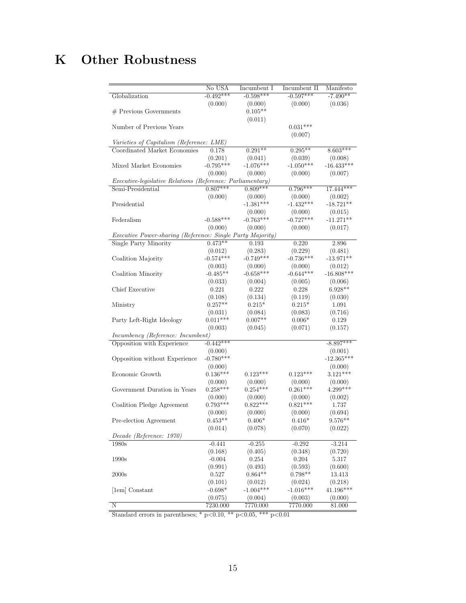## <span id="page-39-0"></span>K Other Robustness

|                                                                   | No USA      | Incumbent I | Incumbent II | Manifesto    |  |  |
|-------------------------------------------------------------------|-------------|-------------|--------------|--------------|--|--|
| Globalization                                                     | $-0.492***$ | $-0.598***$ | $-0.597***$  | $-7.490**$   |  |  |
|                                                                   | (0.000)     | (0.000)     | (0.000)      | (0.036)      |  |  |
| $\#$ Previous Governments                                         |             | $0.105**$   |              |              |  |  |
|                                                                   |             | (0.011)     |              |              |  |  |
| Number of Previous Years                                          |             |             | $0.031***$   |              |  |  |
|                                                                   |             |             | (0.007)      |              |  |  |
| Varieties of Capitalism (Reference: LME)                          |             |             |              |              |  |  |
| Coordinated Market Economies                                      | 0.178       | $0.291**$   | $0.295**$    | $8.603***$   |  |  |
|                                                                   | (0.201)     | (0.041)     | (0.039)      | (0.008)      |  |  |
| Mixed Market Economies                                            | $-0.795***$ | $-1.076***$ | $-1.050***$  | $-16.433***$ |  |  |
|                                                                   | (0.000)     | (0.000)     | (0.000)      | (0.007)      |  |  |
| <i>Executive-legislative Relations (Reference: Parliamentary)</i> |             |             |              |              |  |  |
| Semi-Presidential                                                 | $0.807***$  | $0.809***$  | $0.796***$   | $17.444***$  |  |  |
|                                                                   | (0.000)     | (0.000)     | (0.000)      | (0.002)      |  |  |
| Presidential                                                      |             | $-1.381***$ | $-1.432***$  | $-18.721**$  |  |  |
|                                                                   |             | (0.000)     | (0.000)      | (0.015)      |  |  |
| Federalism                                                        | $-0.588***$ | $-0.763***$ | $-0.727***$  | $-11.271**$  |  |  |
|                                                                   | (0.000)     | (0.000)     | (0.000)      | (0.017)      |  |  |
| Executive Power-sharing (Reference: Single Party Majority)        |             |             |              |              |  |  |
| Single Party Minority                                             | $0.473**$   | 0.193       | 0.220        | 2.896        |  |  |
|                                                                   | (0.012)     | (0.283)     | (0.229)      | (0.481)      |  |  |
| Coalition Majority                                                | $-0.574***$ | $-0.749***$ | $-0.736***$  | $-13.971**$  |  |  |
|                                                                   | (0.003)     | (0.000)     | (0.000)      | (0.012)      |  |  |
| Coalition Minority                                                | $-0.485**$  | $-0.658***$ | $-0.644***$  | $-16.808***$ |  |  |
|                                                                   | (0.033)     | (0.004)     | (0.005)      | (0.006)      |  |  |
| Chief Executive                                                   | 0.221       | 0.222       | 0.228        | $6.928**$    |  |  |
|                                                                   | (0.108)     | (0.134)     | (0.119)      | (0.030)      |  |  |
| Ministry                                                          | $0.257**$   | $0.215*$    | $0.215*$     | 1.091        |  |  |
|                                                                   | (0.031)     | (0.084)     | (0.083)      | (0.716)      |  |  |
| Party Left-Right Ideology                                         | $0.011***$  | $0.007**$   | $0.006*$     | 0.129        |  |  |
|                                                                   | (0.003)     | (0.045)     | (0.071)      | (0.157)      |  |  |
| <i>Incumbency (Reference: Incumbent)</i>                          |             |             |              |              |  |  |
| Opposition with Experience                                        | $-0.442***$ |             |              | $-8.897***$  |  |  |
|                                                                   | (0.000)     |             |              | (0.001)      |  |  |
| Opposition without Experience                                     | $-0.780***$ |             |              | $-12.365***$ |  |  |
|                                                                   | (0.000)     |             |              | (0.000)      |  |  |
| Economic Growth                                                   | $0.136***$  | $0.123***$  | $0.123***$   | $3.121***$   |  |  |
|                                                                   | (0.000)     | (0.000)     | (0.000)      | (0.000)      |  |  |
| Government Duration in Years                                      | $0.258***$  | $0.254***$  | $0.261***$   | $4.299***$   |  |  |
|                                                                   | (0.000)     | (0.000)     | (0.000)      | (0.002)      |  |  |
| Coalition Pledge Agreement                                        | $0.793***$  | $0.822***$  | $0.821***$   | 1.737        |  |  |
|                                                                   | (0.000)     | (0.000)     | (0.000)      | (0.694)      |  |  |
| Pre-election Agreement                                            | $0.453**$   | $0.406*$    | $0.416*$     | $9.576**$    |  |  |
|                                                                   | (0.014)     | (0.078)     | (0.070)      | (0.022)      |  |  |
| Decade (Reference: 1970)                                          |             |             |              |              |  |  |
| 1980s                                                             | $-0.441$    | $-0.255$    | $-0.292$     | $-3.214$     |  |  |
|                                                                   | (0.168)     | (0.405)     | (0.348)      | (0.720)      |  |  |
| 1990s                                                             | $-0.004$    | 0.254       | 0.204        | 5.317        |  |  |
|                                                                   | (0.991)     | (0.493)     | (0.593)      | (0.600)      |  |  |
| 2000s                                                             | 0.527       | $0.864**$   | $0.798**$    | 13.413       |  |  |
|                                                                   | (0.101)     | (0.012)     | (0.024)      | (0.218)      |  |  |
| [1em] Constant                                                    | $-0.698*$   | $-1.004***$ | $-1.016***$  | 41.196***    |  |  |
|                                                                   | (0.075)     | (0.004)     | (0.003)      | (0.000)      |  |  |
| $\overline{\rm N}$                                                | 7230.000    | 7770.000    | 7770.000     | 81.000       |  |  |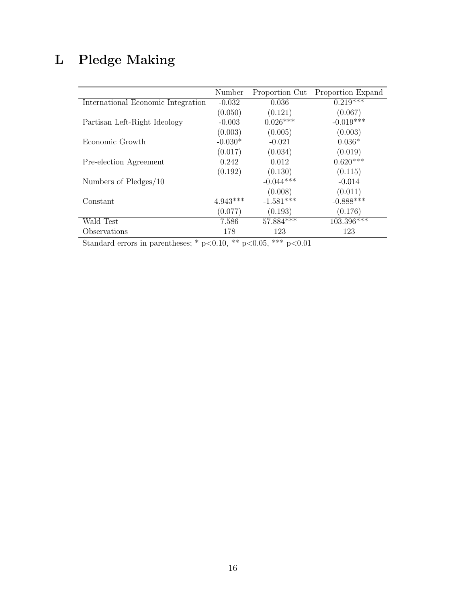# <span id="page-40-0"></span>L Pledge Making

|                                    | Number     | Proportion Cut | Proportion Expand |
|------------------------------------|------------|----------------|-------------------|
| International Economic Integration | $-0.032$   | 0.036          | $0.219***$        |
|                                    | (0.050)    | (0.121)        | (0.067)           |
| Partisan Left-Right Ideology       | $-0.003$   | $0.026***$     | $-0.019***$       |
|                                    | (0.003)    | (0.005)        | (0.003)           |
| Economic Growth                    | $-0.030*$  | $-0.021$       | $0.036*$          |
|                                    | (0.017)    | (0.034)        | (0.019)           |
| Pre-election Agreement             | 0.242      | 0.012          | $0.620***$        |
|                                    | (0.192)    | (0.130)        | (0.115)           |
| Numbers of Pledges/10              |            | $-0.044***$    | $-0.014$          |
|                                    |            | (0.008)        | (0.011)           |
| Constant                           | $4.943***$ | $-1.581***$    | $-0.888***$       |
|                                    | (0.077)    | (0.193)        | (0.176)           |
| Wald Test                          | 7.586      | 57.884***      | 103.396***        |
| Observations                       | 178        | 123            | 123               |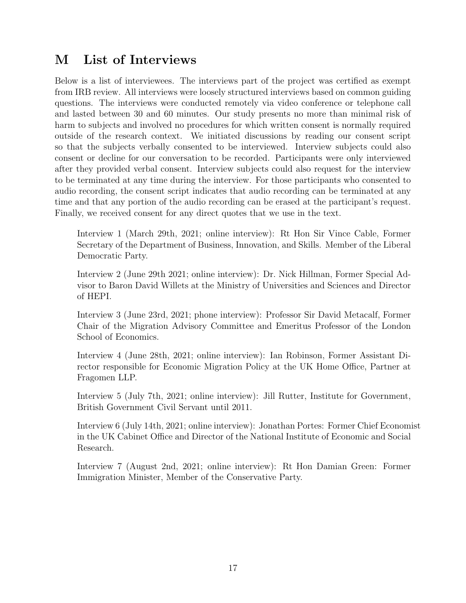### <span id="page-41-0"></span>M List of Interviews

Below is a list of interviewees. The interviews part of the project was certified as exempt from IRB review. All interviews were loosely structured interviews based on common guiding questions. The interviews were conducted remotely via video conference or telephone call and lasted between 30 and 60 minutes. Our study presents no more than minimal risk of harm to subjects and involved no procedures for which written consent is normally required outside of the research context. We initiated discussions by reading our consent script so that the subjects verbally consented to be interviewed. Interview subjects could also consent or decline for our conversation to be recorded. Participants were only interviewed after they provided verbal consent. Interview subjects could also request for the interview to be terminated at any time during the interview. For those participants who consented to audio recording, the consent script indicates that audio recording can be terminated at any time and that any portion of the audio recording can be erased at the participant's request. Finally, we received consent for any direct quotes that we use in the text.

Interview 1 (March 29th, 2021; online interview): Rt Hon Sir Vince Cable, Former Secretary of the Department of Business, Innovation, and Skills. Member of the Liberal Democratic Party.

Interview 2 (June 29th 2021; online interview): Dr. Nick Hillman, Former Special Advisor to Baron David Willets at the Ministry of Universities and Sciences and Director of HEPI.

Interview 3 (June 23rd, 2021; phone interview): Professor Sir David Metacalf, Former Chair of the Migration Advisory Committee and Emeritus Professor of the London School of Economics.

Interview 4 (June 28th, 2021; online interview): Ian Robinson, Former Assistant Director responsible for Economic Migration Policy at the UK Home Office, Partner at Fragomen LLP.

Interview 5 (July 7th, 2021; online interview): Jill Rutter, Institute for Government, British Government Civil Servant until 2011.

Interview 6 (July 14th, 2021; online interview): Jonathan Portes: Former Chief Economist in the UK Cabinet Office and Director of the National Institute of Economic and Social Research.

Interview 7 (August 2nd, 2021; online interview): Rt Hon Damian Green: Former Immigration Minister, Member of the Conservative Party.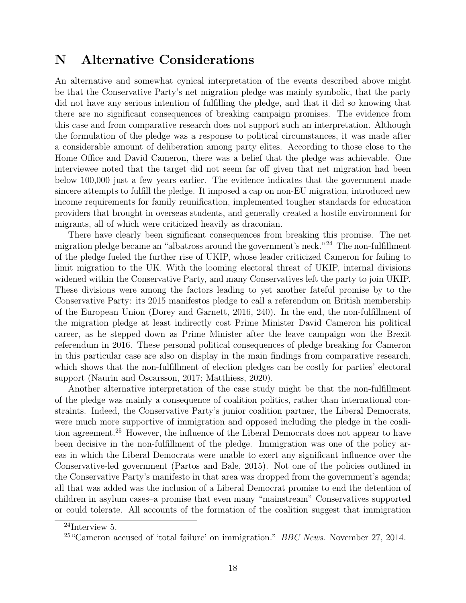### <span id="page-42-0"></span>N Alternative Considerations

An alternative and somewhat cynical interpretation of the events described above might be that the Conservative Party's net migration pledge was mainly symbolic, that the party did not have any serious intention of fulfilling the pledge, and that it did so knowing that there are no significant consequences of breaking campaign promises. The evidence from this case and from comparative research does not support such an interpretation. Although the formulation of the pledge was a response to political circumstances, it was made after a considerable amount of deliberation among party elites. According to those close to the Home Office and David Cameron, there was a belief that the pledge was achievable. One interviewee noted that the target did not seem far off given that net migration had been below 100,000 just a few years earlier. The evidence indicates that the government made sincere attempts to fulfill the pledge. It imposed a cap on non-EU migration, introduced new income requirements for family reunification, implemented tougher standards for education providers that brought in overseas students, and generally created a hostile environment for migrants, all of which were criticized heavily as draconian.

There have clearly been significant consequences from breaking this promise. The net migration pledge became an "albatross around the government's neck."[24](#page-0-0) The non-fulfillment of the pledge fueled the further rise of UKIP, whose leader criticized Cameron for failing to limit migration to the UK. With the looming electoral threat of UKIP, internal divisions widened within the Conservative Party, and many Conservatives left the party to join UKIP. These divisions were among the factors leading to yet another fateful promise by to the Conservative Party: its 2015 manifestos pledge to call a referendum on British membership of the European Union [\(Dorey and Garnett, 2016,](#page-20-15) 240). In the end, the non-fulfillment of the migration pledge at least indirectly cost Prime Minister David Cameron his political career, as he stepped down as Prime Minister after the leave campaign won the Brexit referendum in 2016. These personal political consequences of pledge breaking for Cameron in this particular case are also on display in the main findings from comparative research, which shows that the non-fulfillment of election pledges can be costly for parties' electoral support [\(Naurin and Oscarsson, 2017;](#page-22-2) [Matthiess, 2020\)](#page-22-4).

Another alternative interpretation of the case study might be that the non-fulfillment of the pledge was mainly a consequence of coalition politics, rather than international constraints. Indeed, the Conservative Party's junior coalition partner, the Liberal Democrats, were much more supportive of immigration and opposed including the pledge in the coalition agreement.[25](#page-0-0) However, the influence of the Liberal Democrats does not appear to have been decisive in the non-fulfillment of the pledge. Immigration was one of the policy areas in which the Liberal Democrats were unable to exert any significant influence over the Conservative-led government [\(Partos and Bale, 2015\)](#page-23-14). Not one of the policies outlined in the Conservative Party's manifesto in that area was dropped from the government's agenda; all that was added was the inclusion of a Liberal Democrat promise to end the detention of children in asylum cases–a promise that even many "mainstream" Conservatives supported or could tolerate. All accounts of the formation of the coalition suggest that immigration

<sup>24</sup>Interview 5.

 $25$  "Cameron accused of 'total failure' on immigration." *BBC News*. November 27, 2014.